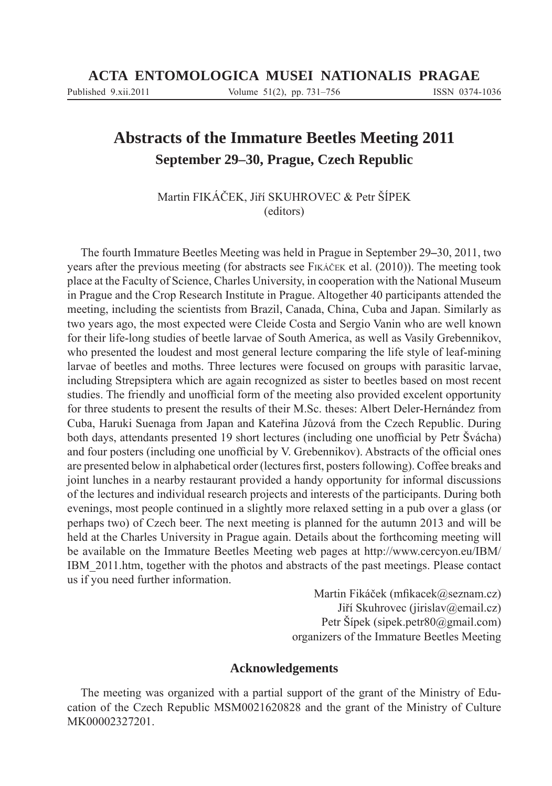# **Abstracts of the Immature Beetles Meeting 2011 September 29–30, Prague, Czech Republic**

Martin FIKÁČEK, Jiří SKUHROVEC & Petr ŠÍPEK (editors)

The fourth Immature Beetles Meeting was held in Prague in September 29**–**30, 2011, two years after the previous meeting (for abstracts see FIKÁČEK et al. (2010)). The meeting took place at the Faculty of Science, Charles University, in cooperation with the National Museum in Prague and the Crop Research Institute in Prague. Altogether 40 participants attended the meeting, including the scientists from Brazil, Canada, China, Cuba and Japan. Similarly as two years ago, the most expected were Cleide Costa and Sergio Vanin who are well known for their life-long studies of beetle larvae of South America, as well as Vasily Grebennikov, who presented the loudest and most general lecture comparing the life style of leaf-mining larvae of beetles and moths. Three lectures were focused on groups with parasitic larvae, including Strepsiptera which are again recognized as sister to beetles based on most recent studies. The friendly and unofficial form of the meeting also provided excelent opportunity for three students to present the results of their M.Sc. theses: Albert Deler-Hernández from Cuba, Haruki Suenaga from Japan and Kateřina Jůzová from the Czech Republic. During both days, attendants presented 19 short lectures (including one unofficial by Petr Švácha) and four posters (including one unofficial by V. Grebennikov). Abstracts of the official ones are presented below in alphabetical order (lectures first, posters following). Coffee breaks and joint lunches in a nearby restaurant provided a handy opportunity for informal discussions of the lectures and individual research projects and interests of the participants. During both evenings, most people continued in a slightly more relaxed setting in a pub over a glass (or perhaps two) of Czech beer. The next meeting is planned for the autumn 2013 and will be held at the Charles University in Prague again. Details about the forthcoming meeting will be available on the Immature Beetles Meeting web pages at http://www.cercyon.eu/IBM/ IBM\_2011.htm, together with the photos and abstracts of the past meetings. Please contact us if you need further information.

> Martin Fikáček (mfikacek@seznam.cz) Jiří Skuhrovec (jirislav@email.cz) Petr Šípek (sipek.petr80@gmail.com) organizers of the Immature Beetles Meeting

### **Acknowledgements**

The meeting was organized with a partial support of the grant of the Ministry of Education of the Czech Republic MSM0021620828 and the grant of the Ministry of Culture MK00002327201.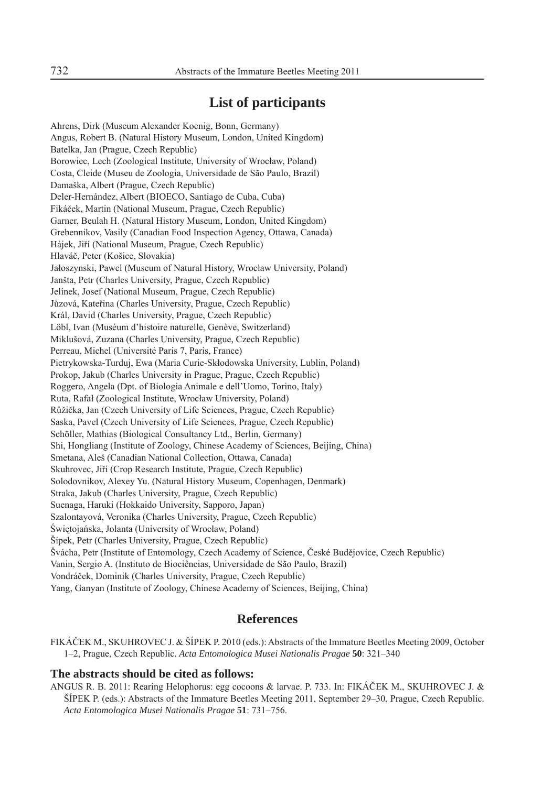## **List of participants**

Ahrens, Dirk (Museum Alexander Koenig, Bonn, Germany) Angus, Robert B. (Natural History Museum, London, United Kingdom) Batelka, Jan (Prague, Czech Republic) Borowiec, Lech (Zoological Institute, University of Wrocław, Poland) Costa, Cleide (Museu de Zoologia, Universidade de São Paulo, Brazil) Damaška, Albert (Prague, Czech Republic) Deler-Hernández, Albert (BIOECO, Santiago de Cuba, Cuba) Fikáček, Martin (National Museum, Prague, Czech Republic) Garner, Beulah H. (Natural History Museum, London, United Kingdom) Grebennikov, Vasily (Canadian Food Inspection Agency, Ottawa, Canada) Hájek, Jiří (National Museum, Prague, Czech Republic) Hlaváč, Peter (Košice, Slovakia) Jałoszynski, Pawel (Museum of Natural History, Wrocław University, Poland) Janšta, Petr (Charles University, Prague, Czech Republic) Jelínek, Josef (National Museum, Prague, Czech Republic) Jůzová, Kateřina (Charles University, Prague, Czech Republic) Král, David (Charles University, Prague, Czech Republic) Löbl, Ivan (Muséum d'histoire naturelle, Genève, Switzerland) Miklušová, Zuzana (Charles University, Prague, Czech Republic) Perreau, Michel (Université Paris 7, Paris, France) Pietrykowska-Turduj, Ewa (Maria Curie-Skłodowska University, Lublin, Poland) Prokop, Jakub (Charles University in Prague, Prague, Czech Republic) Roggero, Angela (Dpt. of Biologia Animale e dell'Uomo, Torino, Italy) Ruta, Rafał (Zoological Institute, Wrocław University, Poland) Růžička, Jan (Czech University of Life Sciences, Prague, Czech Republic) Saska, Pavel (Czech University of Life Sciences, Prague, Czech Republic) Schöller, Mathias (Biological Consultancy Ltd., Berlin, Germany) Shi, Hongliang (Institute of Zoology, Chinese Academy of Sciences, Beijing, China) Smetana, Aleš (Canadian National Collection, Ottawa, Canada) Skuhrovec, Jiří (Crop Research Institute, Prague, Czech Republic) Solodovnikov, Alexey Yu. (Natural History Museum, Copenhagen, Denmark) Straka, Jakub (Charles University, Prague, Czech Republic) Suenaga, Haruki (Hokkaido University, Sapporo, Japan) Szalontayová, Veronika (Charles University, Prague, Czech Republic) Świętojańska, Jolanta (University of Wrocław, Poland) Šípek, Petr (Charles University, Prague, Czech Republic) Švácha, Petr (Institute of Entomology, Czech Academy of Science, České Budějovice, Czech Republic) Vanin, Sergio A. (Instituto de Biociências, Universidade de São Paulo, Brazil) Vondráček, Dominik (Charles University, Prague, Czech Republic) Yang, Ganyan (Institute of Zoology, Chinese Academy of Sciences, Beijing, China)

### **References**

FIKÁČEK M., SKUHROVEC J. & ŠÍPEK P. 2010 (eds.): Abstracts of the Immature Beetles Meeting 2009, October 1–2, Prague, Czech Republic. *Acta Entomologica Musei Nationalis Pragae* **50**: 321–340

#### **The abstracts should be cited as follows:**

ANGUS R. B. 2011: Rearing Helophorus: egg cocoons & larvae. P. 733. In: FIKÁČEK M., SKUHROVEC J. & ŠÍPEK P. (eds.): Abstracts of the Immature Beetles Meeting 2011, September 29–30, Prague, Czech Republic. *Acta Entomologica Musei Nationalis Pragae* **51**: 731–756.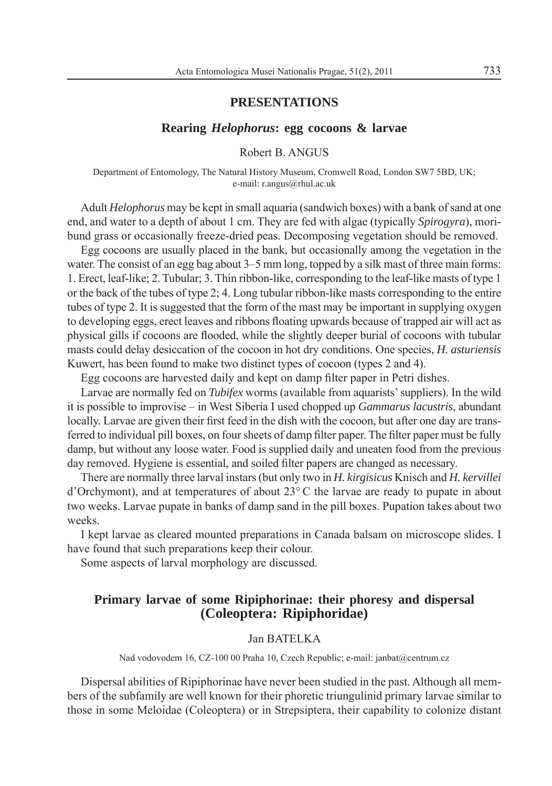#### **PRESENTATIONS**

#### **Rearing** *Helophorus***: egg cocoons & larvae**

Robert B. ANGUS

Department of Entomology, The Natural History Museum, Cromwell Road, London SW7 5BD, UK; e-mail: r.angus@rhul.ac.uk

Adult *Helophorus* may be kept in small aquaria (sandwich boxes) with a bank of sand at one end, and water to a depth of about 1 cm. They are fed with algae (typically *Spirogyra*), moribund grass or occasionally freeze-dried peas. Decomposing vegetation should be removed.

Egg cocoons are usually placed in the bank, but occasionally among the vegetation in the water. The consist of an egg bag about 3–5 mm long, topped by a silk mast of three main forms: 1. Erect, leaf-like; 2. Tubular; 3. Thin ribbon-like, corresponding to the leaf-like masts of type 1 or the back of the tubes of type 2; 4. Long tubular ribbon-like masts corresponding to the entire tubes of type 2. It is suggested that the form of the mast may be important in supplying oxygen to developing eggs, erect leaves and ribbons floating upwards because of trapped air will act as physical gills if cocoons are flooded, while the slightly deeper burial of cocoons with tubular masts could delay desiccation of the cocoon in hot dry conditions. One species, *H. asturiensis* Kuwert, has been found to make two distinct types of cocoon (types 2 and 4).

Egg cocoons are harvested daily and kept on damp filter paper in Petri dishes.

Larvae are normally fed on *Tubifex* worms (available from aquarists' suppliers). In the wild it is possible to improvise – in West Siberia I used chopped up *Gammarus lacustris*, abundant locally. Larvae are given their first feed in the dish with the cocoon, but after one day are transferred to individual pill boxes, on four sheets of damp filter paper. The filter paper must be fully damp, but without any loose water. Food is supplied daily and uneaten food from the previous day removed. Hygiene is essential, and soiled filter papers are changed as necessary.

There are normally three larval instars (but only two in *H. kirgisicus* Knisch and *H. kervillei* d'Orchymont), and at temperatures of about 23° C the larvae are ready to pupate in about two weeks. Larvae pupate in banks of damp sand in the pill boxes. Pupation takes about two weeks.

I kept larvae as cleared mounted preparations in Canada balsam on microscope slides. I have found that such preparations keep their colour.

Some aspects of larval morphology are discussed.

## **Primary larvae of some Ripiphorinae: their phoresy and dispersal (Coleoptera: Ripiphoridae)**

### Jan BATELKA

Nad vodovodem 16, CZ-100 00 Praha 10, Czech Republic; e-mail: janbat@centrum.cz

Dispersal abilities of Ripiphorinae have never been studied in the past. Although all members of the subfamily are well known for their phoretic triungulinid primary larvae similar to those in some Meloidae (Coleoptera) or in Strepsiptera, their capability to colonize distant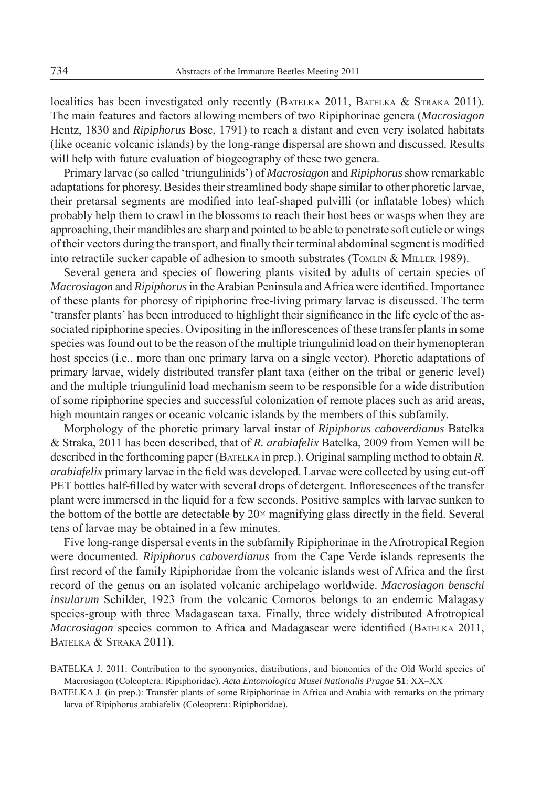localities has been investigated only recently (BATELKA 2011, BATELKA & STRAKA 2011). The main features and factors allowing members of two Ripiphorinae genera (*Macrosiagon* Hentz, 1830 and *Ripiphorus* Bosc, 1791) to reach a distant and even very isolated habitats (like oceanic volcanic islands) by the long-range dispersal are shown and discussed. Results will help with future evaluation of biogeography of these two genera.

Primary larvae (so called 'triungulinids') of *Macrosiagon* and *Ripiphorus* show remarkable adaptations for phoresy. Besides their streamlined body shape similar to other phoretic larvae, their pretarsal segments are modified into leaf-shaped pulvilli (or inflatable lobes) which probably help them to crawl in the blossoms to reach their host bees or wasps when they are approaching, their mandibles are sharp and pointed to be able to penetrate soft cuticle or wings of their vectors during the transport, and finally their terminal abdominal segment is modified into retractile sucker capable of adhesion to smooth substrates (TOMLIN  $&$  MILLER 1989).

Several genera and species of flowering plants visited by adults of certain species of *Macrosiagon* and *Ripiphorus* in the Arabian Peninsula and Africa were identified. Importance of these plants for phoresy of ripiphorine free-living primary larvae is discussed. The term 'transfer plants' has been introduced to highlight their significance in the life cycle of the associated ripiphorine species. Ovipositing in the inflorescences of these transfer plants in some species was found out to be the reason of the multiple triungulinid load on their hymenopteran host species (i.e., more than one primary larva on a single vector). Phoretic adaptations of primary larvae, widely distributed transfer plant taxa (either on the tribal or generic level) and the multiple triungulinid load mechanism seem to be responsible for a wide distribution of some ripiphorine species and successful colonization of remote places such as arid areas, high mountain ranges or oceanic volcanic islands by the members of this subfamily.

Morphology of the phoretic primary larval instar of *Ripiphorus caboverdianus* Batelka & Straka, 2011 has been described, that of *R. arabiafelix* Batelka, 2009 from Yemen will be described in the forthcoming paper (BATELKA in prep.). Original sampling method to obtain *R. arabiafelix* primary larvae in the field was developed. Larvae were collected by using cut-off PET bottles half-filled by water with several drops of detergent. Inflorescences of the transfer plant were immersed in the liquid for a few seconds. Positive samples with larvae sunken to the bottom of the bottle are detectable by  $20 \times$  magnifying glass directly in the field. Several tens of larvae may be obtained in a few minutes.

Five long-range dispersal events in the subfamily Ripiphorinae in the Afrotropical Region were documented. *Ripiphorus caboverdianus* from the Cape Verde islands represents the first record of the family Ripiphoridae from the volcanic islands west of Africa and the first record of the genus on an isolated volcanic archipelago worldwide. *Macrosiagon benschi insularum* Schilder, 1923 from the volcanic Comoros belongs to an endemic Malagasy species-group with three Madagascan taxa. Finally, three widely distributed Afrotropical *Macrosiagon* species common to Africa and Madagascar were identified (BATELKA 2011, BATELKA & STRAKA 2011).

BATELKA J. 2011: Contribution to the synonymies, distributions, and bionomics of the Old World species of Macrosiagon (Coleoptera: Ripiphoridae). *Acta Entomologica Musei Nationalis Pragae* **51**: XX–XX

BATELKA J. (in prep.): Transfer plants of some Ripiphorinae in Africa and Arabia with remarks on the primary larva of Ripiphorus arabiafelix (Coleoptera: Ripiphoridae).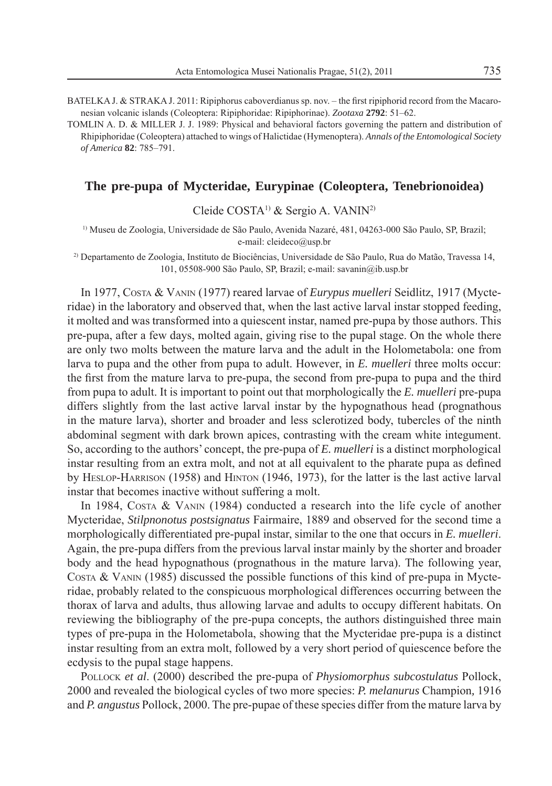BATELKA J. & STRAKA J. 2011: Ripiphorus caboverdianus sp. nov. – the first ripiphorid record from the Macaronesian volcanic islands (Coleoptera: Ripiphoridae: Ripiphorinae). *Zootaxa* **2792**: 51–62.

TOMLIN A. D. & MILLER J. J. 1989: Physical and behavioral factors governing the pattern and distribution of Rhipiphoridae (Coleoptera) attached to wings of Halictidae (Hymenoptera). *Annals of the Entomological Society of America* **82**: 785–791.

### **The pre-pupa of Mycteridae, Eurypinae (Coleoptera, Tenebrionoidea)**

Cleide COSTA1) & Sergio A. VANIN2)

1) Museu de Zoologia, Universidade de São Paulo, Avenida Nazaré, 481, 04263-000 São Paulo, SP, Brazil; e-mail: cleideco@usp.br

2) Departamento de Zoologia, Instituto de Biociências, Universidade de São Paulo, Rua do Matão, Travessa 14, 101, 05508-900 São Paulo, SP, Brazil; e-mail: savanin@ib.usp.br

In 1977, COSTA & VANIN (1977) reared larvae of *Eurypus muelleri* Seidlitz, 1917 (Mycteridae) in the laboratory and observed that, when the last active larval instar stopped feeding, it molted and was transformed into a quiescent instar, named pre-pupa by those authors. This pre-pupa, after a few days, molted again, giving rise to the pupal stage. On the whole there are only two molts between the mature larva and the adult in the Holometabola: one from larva to pupa and the other from pupa to adult. However, in *E. muelleri* three molts occur: the first from the mature larva to pre-pupa, the second from pre-pupa to pupa and the third from pupa to adult. It is important to point out that morphologically the *E. muelleri* pre-pupa differs slightly from the last active larval instar by the hypognathous head (prognathous in the mature larva), shorter and broader and less sclerotized body, tubercles of the ninth abdominal segment with dark brown apices, contrasting with the cream white integument. So, according to the authors' concept, the pre-pupa of *E. muelleri* is a distinct morphological instar resulting from an extra molt, and not at all equivalent to the pharate pupa as defined by HESLOP-HARRISON (1958) and HINTON (1946, 1973), for the latter is the last active larval instar that becomes inactive without suffering a molt.

In 1984, Costa & VANIN (1984) conducted a research into the life cycle of another Mycteridae, *Stilpnonotus postsignatus* Fairmaire, 1889 and observed for the second time a morphologically differentiated pre-pupal instar, similar to the one that occurs in *E. muelleri*. Again, the pre-pupa differs from the previous larval instar mainly by the shorter and broader body and the head hypognathous (prognathous in the mature larva). The following year, COSTA & VANIN (1985) discussed the possible functions of this kind of pre-pupa in Mycteridae, probably related to the conspicuous morphological differences occurring between the thorax of larva and adults, thus allowing larvae and adults to occupy different habitats. On reviewing the bibliography of the pre-pupa concepts, the authors distinguished three main types of pre-pupa in the Holometabola, showing that the Mycteridae pre-pupa is a distinct instar resulting from an extra molt, followed by a very short period of quiescence before the ecdysis to the pupal stage happens.

POLLOCK *et al*. (2000) described the pre-pupa of *Physiomorphus subcostulatus* Pollock, 2000 and revealed the biological cycles of two more species: *P. melanurus* Champion*,* 1916 and *P. angustus* Pollock, 2000. The pre-pupae of these species differ from the mature larva by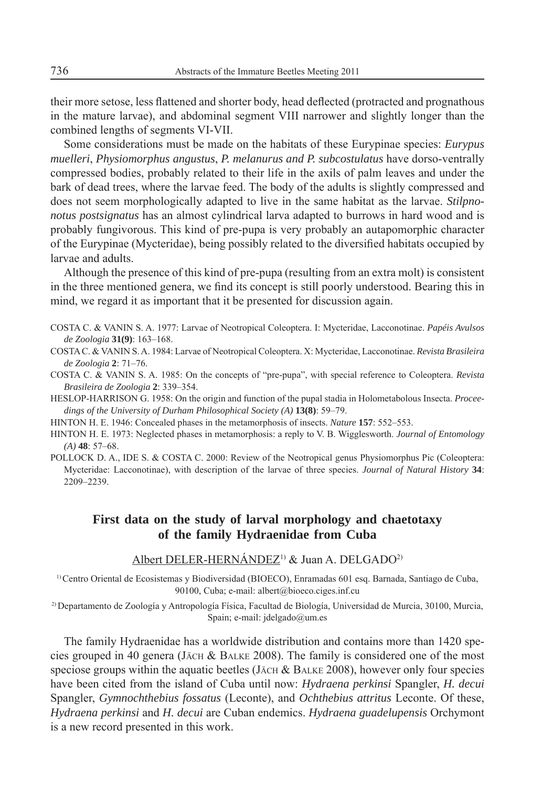their more setose, less flattened and shorter body, head deflected (protracted and prognathous in the mature larvae), and abdominal segment VIII narrower and slightly longer than the combined lengths of segments VI-VII.

Some considerations must be made on the habitats of these Eurypinae species: *Eurypus muelleri*, *Physiomorphus angustus*, *P. melanurus and P. subcostulatus* have dorso-ventrally compressed bodies, probably related to their life in the axils of palm leaves and under the bark of dead trees, where the larvae feed. The body of the adults is slightly compressed and does not seem morphologically adapted to live in the same habitat as the larvae. *Stilpnonotus postsignatus* has an almost cylindrical larva adapted to burrows in hard wood and is probably fungivorous. This kind of pre-pupa is very probably an autapomorphic character of the Eurypinae (Mycteridae), being possibly related to the diversified habitats occupied by larvae and adults.

Although the presence of this kind of pre-pupa (resulting from an extra molt) is consistent in the three mentioned genera, we find its concept is still poorly understood. Bearing this in mind, we regard it as important that it be presented for discussion again.

- COSTA C. & VANIN S. A. 1977: Larvae of Neotropical Coleoptera. I: Mycteridae, Lacconotinae. *Papéis Avulsos de Zoologia* **31(9)**: 163–168.
- COSTA C. & VANIN S. A. 1984: Larvae of Neotropical Coleoptera. X: Mycteridae, Lacconotinae. *Revista Brasileira de Zoologia* **2**: 71–76.
- COSTA C. & VANIN S. A. 1985: On the concepts of "pre-pupa", with special reference to Coleoptera. *Revista Brasileira de Zoologia* **2**: 339–354.
- HESLOP-HARRISON G. 1958: On the origin and function of the pupal stadia in Holometabolous Insecta. *Proceedings of the University of Durham Philosophical Society (A)* **13(8)**: 59–79.
- HINTON H. E. 1946: Concealed phases in the metamorphosis of insects. *Nature* **157**: 552–553.
- HINTON H. E. 1973: Neglected phases in metamorphosis: a reply to V. B. Wigglesworth. *Journal of Entomology (A)* **48**: 57–68.
- POLLOCK D. A., IDE S. & COSTA C. 2000: Review of the Neotropical genus Physiomorphus Pic (Coleoptera: Mycteridae: Lacconotinae), with description of the larvae of three species. *Journal of Natural History* **34**: 2209–2239.

## **First data on the study of larval morphology and chaetotaxy of the family Hydraenidae from Cuba**

### Albert DELER-HERNÁNDEZ<sup>1)</sup> & Juan A. DELGADO<sup>2)</sup>

1) Centro Oriental de Ecosistemas y Biodiversidad (BIOECO), Enramadas 601 esq. Barnada, Santiago de Cuba, 90100, Cuba; e-mail: albert@bioeco.ciges.inf.cu

2) Departamento de Zoología y Antropología Física, Facultad de Biología, Universidad de Murcia, 30100, Murcia, Spain; e-mail: jdelgado@um.es

The family Hydraenidae has a worldwide distribution and contains more than 1420 species grouped in 40 genera (J $\lambda$ CH & B $\lambda$ LKE 2008). The family is considered one of the most speciose groups within the aquatic beetles (J $\overline{A}$ CH & BALKE 2008), however only four species have been cited from the island of Cuba until now: *Hydraena perkinsi* Spangler, *H. decui*  Spangler, *Gymnochthebius fossatus* (Leconte), and *Ochthebius attritus* Leconte. Of these, *Hydraena perkinsi* and *H. decui* are Cuban endemics. *Hydraena guadelupensis* Orchymont is a new record presented in this work.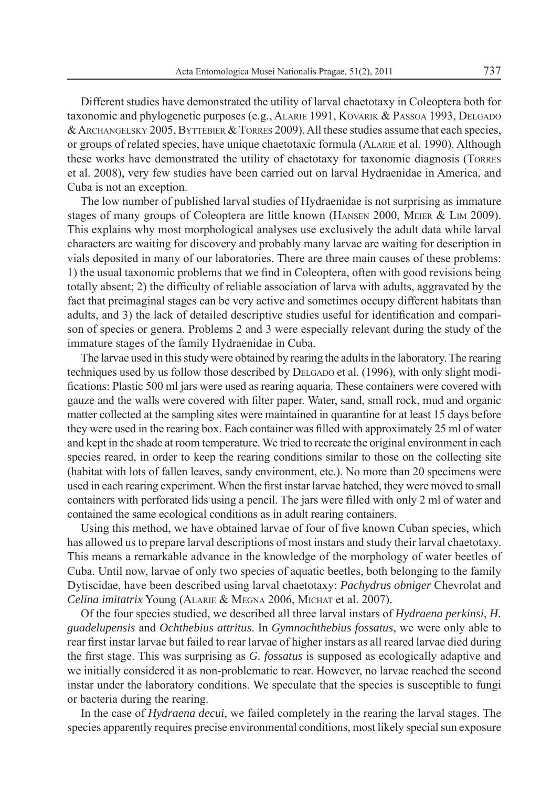Different studies have demonstrated the utility of larval chaetotaxy in Coleoptera both for taxonomic and phylogenetic purposes (e.g., ALARIE 1991, KOVARIK & PASSOA 1993, DELGADO & ARCHANGELSKY 2005, BYTTEBIER & TORRES 2009). All these studies assume that each species, or groups of related species, have unique chaetotaxic formula (ALARIE et al. 1990). Although these works have demonstrated the utility of chaetotaxy for taxonomic diagnosis (TORRES et al. 2008), very few studies have been carried out on larval Hydraenidae in America, and Cuba is not an exception.

The low number of published larval studies of Hydraenidae is not surprising as immature stages of many groups of Coleoptera are little known (HANSEN 2000, MEIER & LIM 2009). This explains why most morphological analyses use exclusively the adult data while larval characters are waiting for discovery and probably many larvae are waiting for description in vials deposited in many of our laboratories. There are three main causes of these problems: 1) the usual taxonomic problems that we find in Coleoptera, often with good revisions being totally absent; 2) the difficulty of reliable association of larva with adults, aggravated by the fact that preimaginal stages can be very active and sometimes occupy different habitats than adults, and 3) the lack of detailed descriptive studies useful for identification and comparison of species or genera. Problems 2 and 3 were especially relevant during the study of the immature stages of the family Hydraenidae in Cuba.

The larvae used in this study were obtained by rearing the adults in the laboratory. The rearing techniques used by us follow those described by DELGADO et al. (1996), with only slight modifications: Plastic 500 ml jars were used as rearing aquaria. These containers were covered with gauze and the walls were covered with filter paper. Water, sand, small rock, mud and organic matter collected at the sampling sites were maintained in quarantine for at least 15 days before they were used in the rearing box. Each container was filled with approximately 25 ml of water and kept in the shade at room temperature. We tried to recreate the original environment in each species reared, in order to keep the rearing conditions similar to those on the collecting site (habitat with lots of fallen leaves, sandy environment, etc.). No more than 20 specimens were used in each rearing experiment. When the first instar larvae hatched, they were moved to small containers with perforated lids using a pencil. The jars were filled with only 2 ml of water and contained the same ecological conditions as in adult rearing containers.

Using this method, we have obtained larvae of four of five known Cuban species, which has allowed us to prepare larval descriptions of most instars and study their larval chaetotaxy. This means a remarkable advance in the knowledge of the morphology of water beetles of Cuba. Until now, larvae of only two species of aquatic beetles, both belonging to the family Dytiscidae, have been described using larval chaetotaxy: *Pachydrus obniger* Chevrolat and *Celina imitatrix* Young (ALARIE & MEGNA 2006, MICHAT et al. 2007).

Of the four species studied, we described all three larval instars of *Hydraena perkinsi*, *H. guadelupensis* and *Ochthebius attritus*. In *Gymnochthebius fossatus*, we were only able to rear first instar larvae but failed to rear larvae of higher instars as all reared larvae died during the first stage. This was surprising as *G. fossatus* is supposed as ecologically adaptive and we initially considered it as non-problematic to rear. However, no larvae reached the second instar under the laboratory conditions. We speculate that the species is susceptible to fungi or bacteria during the rearing.

In the case of *Hydraena decui*, we failed completely in the rearing the larval stages. The species apparently requires precise environmental conditions, most likely special sun exposure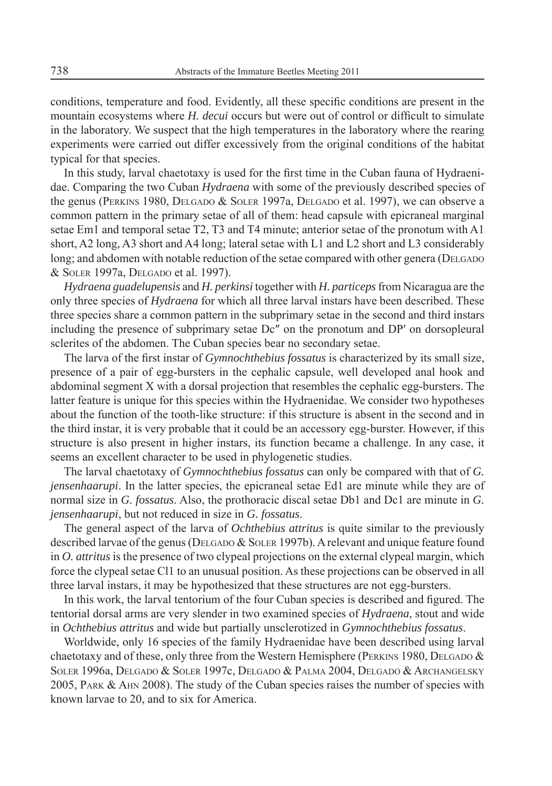conditions, temperature and food. Evidently, all these specifi c conditions are present in the mountain ecosystems where *H. decui* occurs but were out of control or difficult to simulate in the laboratory. We suspect that the high temperatures in the laboratory where the rearing experiments were carried out differ excessively from the original conditions of the habitat typical for that species.

In this study, larval chaetotaxy is used for the first time in the Cuban fauna of Hydraenidae. Comparing the two Cuban *Hydraena* with some of the previously described species of the genus (PERKINS 1980, DELGADO & SOLER 1997a, DELGADO et al. 1997), we can observe a common pattern in the primary setae of all of them: head capsule with epicraneal marginal setae Em1 and temporal setae T2, T3 and T4 minute; anterior setae of the pronotum with A1 short, A2 long, A3 short and A4 long; lateral setae with L1 and L2 short and L3 considerably long; and abdomen with notable reduction of the setae compared with other genera (DELGADO & SOLER 1997a, DELGADO et al. 1997).

*Hydraena guadelupensis* and *H. perkinsi* together with *H. particeps* from Nicaragua are the only three species of *Hydraena* for which all three larval instars have been described. These three species share a common pattern in the subprimary setae in the second and third instars including the presence of subprimary setae Dc″ on the pronotum and DP′ on dorsopleural sclerites of the abdomen. The Cuban species bear no secondary setae.

The larva of the first instar of *Gymnochthebius fossatus* is characterized by its small size, presence of a pair of egg-bursters in the cephalic capsule, well developed anal hook and abdominal segment X with a dorsal projection that resembles the cephalic egg-bursters. The latter feature is unique for this species within the Hydraenidae. We consider two hypotheses about the function of the tooth-like structure: if this structure is absent in the second and in the third instar, it is very probable that it could be an accessory egg-burster. However, if this structure is also present in higher instars, its function became a challenge. In any case, it seems an excellent character to be used in phylogenetic studies.

The larval chaetotaxy of *Gymnochthebius fossatus* can only be compared with that of *G. jensenhaarupi*. In the latter species, the epicraneal setae Ed1 are minute while they are of normal size in *G. fossatus*. Also, the prothoracic discal setae Db1 and Dc1 are minute in *G. jensenhaarupi*, but not reduced in size in *G. fossatus*.

The general aspect of the larva of *Ochthebius attritus* is quite similar to the previously described larvae of the genus (DELGADO & SOLER 1997b). A relevant and unique feature found in *O. attritus* is the presence of two clypeal projections on the external clypeal margin, which force the clypeal setae Cl1 to an unusual position. As these projections can be observed in all three larval instars, it may be hypothesized that these structures are not egg-bursters.

In this work, the larval tentorium of the four Cuban species is described and figured. The tentorial dorsal arms are very slender in two examined species of *Hydraena*, stout and wide in *Ochthebius attritus* and wide but partially unsclerotized in *Gymnochthebius fossatus*.

Worldwide, only 16 species of the family Hydraenidae have been described using larval chaetotaxy and of these, only three from the Western Hemisphere (PERKINS 1980, DELGADO  $\&$ SOLER 1996a, DELGADO & SOLER 1997c, DELGADO & PALMA 2004, DELGADO & ARCHANGELSKY 2005, PARK & AHN 2008). The study of the Cuban species raises the number of species with known larvae to 20, and to six for America.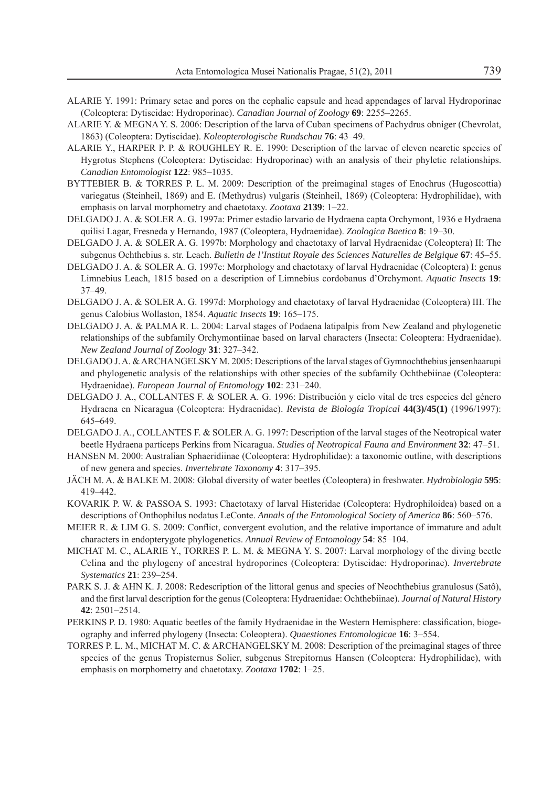- ALARIE Y. 1991: Primary setae and pores on the cephalic capsule and head appendages of larval Hydroporinae (Coleoptera: Dytiscidae: Hydroporinae). *Canadian Journal of Zoology* **69**: 2255–2265.
- ALARIE Y. & MEGNA Y. S. 2006: Description of the larva of Cuban specimens of Pachydrus obniger (Chevrolat, 1863) (Coleoptera: Dytiscidae). *Koleopterologische Rundschau* **76**: 43–49.
- ALARIE Y., HARPER P. P. & ROUGHLEY R. E. 1990: Description of the larvae of eleven nearctic species of Hygrotus Stephens (Coleoptera: Dytiscidae: Hydroporinae) with an analysis of their phyletic relationships. *Canadian Entomologist* **122**: 985–1035.
- BYTTEBIER B. & TORRES P. L. M. 2009: Description of the preimaginal stages of Enochrus (Hugoscottia) variegatus (Steinheil, 1869) and E. (Methydrus) vulgaris (Steinheil, 1869) (Coleoptera: Hydrophilidae), with emphasis on larval morphometry and chaetotaxy. *Zootaxa* **2139**: 1–22.
- DELGADO J. A. & SOLER A. G. 1997a: Primer estadio larvario de Hydraena capta Orchymont, 1936 e Hydraena quilisi Lagar, Fresneda y Hernando, 1987 (Coleoptera, Hydraenidae). *Zoologica Baetica* **8**: 19–30.
- DELGADO J. A. & SOLER A. G. 1997b: Morphology and chaetotaxy of larval Hydraenidae (Coleoptera) II: The subgenus Ochthebius s. str. Leach. *Bulletin de l'Institut Royale des Sciences Naturelles de Belgique* **67**: 45–55.
- DELGADO J. A. & SOLER A. G. 1997c: Morphology and chaetotaxy of larval Hydraenidae (Coleoptera) I: genus Limnebius Leach, 1815 based on a description of Limnebius cordobanus d'Orchymont. *Aquatic Insects* **19**: 37–49.
- DELGADO J. A. & SOLER A. G. 1997d: Morphology and chaetotaxy of larval Hydraenidae (Coleoptera) III. The genus Calobius Wollaston, 1854. *Aquatic Insects* **19**: 165–175.
- DELGADO J. A. & PALMA R. L. 2004: Larval stages of Podaena latipalpis from New Zealand and phylogenetic relationships of the subfamily Orchymontiinae based on larval characters (Insecta: Coleoptera: Hydraenidae). *New Zealand Journal of Zoology* **31**: 327–342.
- DELGADO J. A. & ARCHANGELSKY M. 2005: Descriptions of the larval stages of Gymnochthebius jensenhaarupi and phylogenetic analysis of the relationships with other species of the subfamily Ochthebiinae (Coleoptera: Hydraenidae). *European Journal of Entomology* **102**: 231–240.
- DELGADO J. A., COLLANTES F. & SOLER A. G. 1996: Distribución y ciclo vital de tres especies del género Hydraena en Nicaragua (Coleoptera: Hydraenidae). *Revista de Biología Tropical* **44(3)/45(1)** (1996/1997): 645–649.
- DELGADO J. A., COLLANTES F. & SOLER A. G. 1997: Description of the larval stages of the Neotropical water beetle Hydraena particeps Perkins from Nicaragua. *Studies of Neotropical Fauna and Environment* **32**: 47–51.
- HANSEN M. 2000: Australian Sphaeridiinae (Coleoptera: Hydrophilidae): a taxonomic outline, with descriptions of new genera and species. *Invertebrate Taxonomy* **4**: 317–395.
- JÄCH M. A. & BALKE M. 2008: Global diversity of water beetles (Coleoptera) in freshwater. *Hydrobiologia* **595**: 419–442.
- KOVARIK P. W. & PASSOA S. 1993: Chaetotaxy of larval Histeridae (Coleoptera: Hydrophiloidea) based on a descriptions of Onthophilus nodatus LeConte. *Annals of the Entomological Society of America* **86**: 560–576.
- MEIER R. & LIM G. S. 2009: Conflict, convergent evolution, and the relative importance of immature and adult characters in endopterygote phylogenetics. *Annual Review of Entomology* **54**: 85–104.
- MICHAT M. C., ALARIE Y., TORRES P. L. M. & MEGNA Y. S. 2007: Larval morphology of the diving beetle Celina and the phylogeny of ancestral hydroporines (Coleoptera: Dytiscidae: Hydroporinae). *Invertebrate Systematics* **21**: 239–254.
- PARK S. J. & AHN K. J. 2008: Redescription of the littoral genus and species of Neochthebius granulosus (Satô), and the first larval description for the genus (Coleoptera: Hydraenidae: Ochthebiinae). *Journal of Natural History* **42**: 2501–2514.
- PERKINS P. D. 1980: Aquatic beetles of the family Hydraenidae in the Western Hemisphere: classification, biogeography and inferred phylogeny (Insecta: Coleoptera). *Quaestiones Entomologicae* **16**: 3–554.
- TORRES P. L. M., MICHAT M. C. & ARCHANGELSKY M. 2008: Description of the preimaginal stages of three species of the genus Tropisternus Solier, subgenus Strepitornus Hansen (Coleoptera: Hydrophilidae), with emphasis on morphometry and chaetotaxy. *Zootaxa* **1702**: 1–25.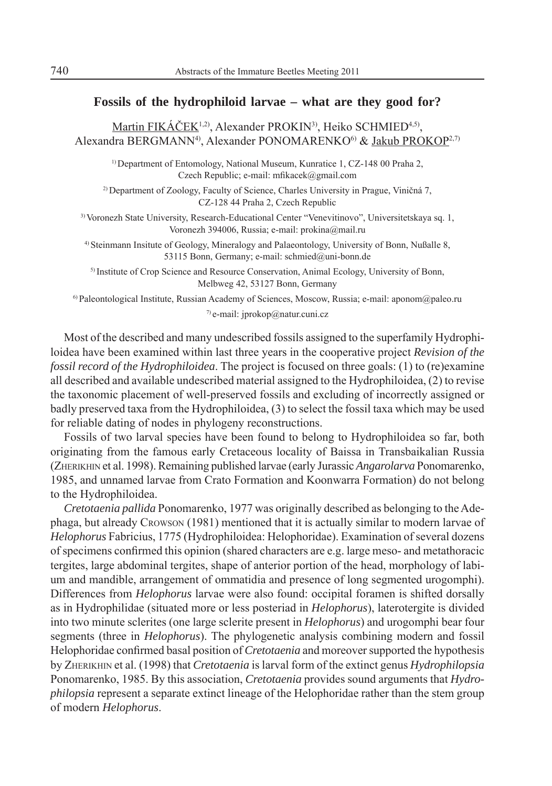## **Fossils of the hydrophiloid larvae – what are they good for?**

Martin FIKÁČEK<sup>1,2)</sup>, Alexander PROKIN<sup>3)</sup>, Heiko SCHMIED<sup>4,5)</sup>, Alexandra BERGMANN<sup>4)</sup>, Alexander PONOMARENKO<sup>6)</sup> & Jakub PROKOP<sup>2,7)</sup>

1) Department of Entomology, National Museum, Kunratice 1, CZ-148 00 Praha 2, Czech Republic; e-mail: mfikacek@gmail.com

2) Department of Zoology, Faculty of Science, Charles University in Prague, Viničná 7, CZ-128 44 Praha 2, Czech Republic

3) Voronezh State University, Research-Educational Center "Venevitinovo", Universitetskaya sq. 1, Voronezh 394006, Russia; e-mail: prokina@mail.ru

4) Steinmann Insitute of Geology, Mineralogy and Palaeontology, University of Bonn, Nußalle 8, 53115 Bonn, Germany; e-mail: schmied@uni-bonn.de

5) Institute of Crop Science and Resource Conservation, Animal Ecology, University of Bonn, Melbweg 42, 53127 Bonn, Germany

6) Paleontological Institute, Russian Academy of Sciences, Moscow, Russia; e-mail: aponom@paleo.ru 7) e-mail: jprokop@natur.cuni.cz

Most of the described and many undescribed fossils assigned to the superfamily Hydrophiloidea have been examined within last three years in the cooperative project *Revision of the fossil record of the Hydrophiloidea*. The project is focused on three goals: (1) to (re)examine all described and available undescribed material assigned to the Hydrophiloidea, (2) to revise the taxonomic placement of well-preserved fossils and excluding of incorrectly assigned or badly preserved taxa from the Hydrophiloidea, (3) to select the fossil taxa which may be used for reliable dating of nodes in phylogeny reconstructions.

Fossils of two larval species have been found to belong to Hydrophiloidea so far, both originating from the famous early Cretaceous locality of Baissa in Transbaikalian Russia (ZHERIKHIN et al. 1998). Remaining published larvae (early Jurassic *Angarolarva* Ponomarenko, 1985, and unnamed larvae from Crato Formation and Koonwarra Formation) do not belong to the Hydrophiloidea.

*Cretotaenia pallida* Ponomarenko, 1977 was originally described as belonging to the Adephaga, but already CROWSON (1981) mentioned that it is actually similar to modern larvae of *Helophorus* Fabricius, 1775 (Hydrophiloidea: Helophoridae). Examination of several dozens of specimens confirmed this opinion (shared characters are e.g. large meso- and metathoracic tergites, large abdominal tergites, shape of anterior portion of the head, morphology of labium and mandible, arrangement of ommatidia and presence of long segmented urogomphi). Differences from *Helophorus* larvae were also found: occipital foramen is shifted dorsally as in Hydrophilidae (situated more or less posteriad in *Helophorus*), laterotergite is divided into two minute sclerites (one large sclerite present in *Helophorus*) and urogomphi bear four segments (three in *Helophorus*). The phylogenetic analysis combining modern and fossil Helophoridae confirmed basal position of *Cretotaenia* and moreover supported the hypothesis by ZHERIKHIN et al. (1998) that *Cretotaenia* is larval form of the extinct genus *Hydrophilopsia*  Ponomarenko, 1985. By this association, *Cretotaenia* provides sound arguments that *Hydrophilopsia* represent a separate extinct lineage of the Helophoridae rather than the stem group of modern *Helophorus*.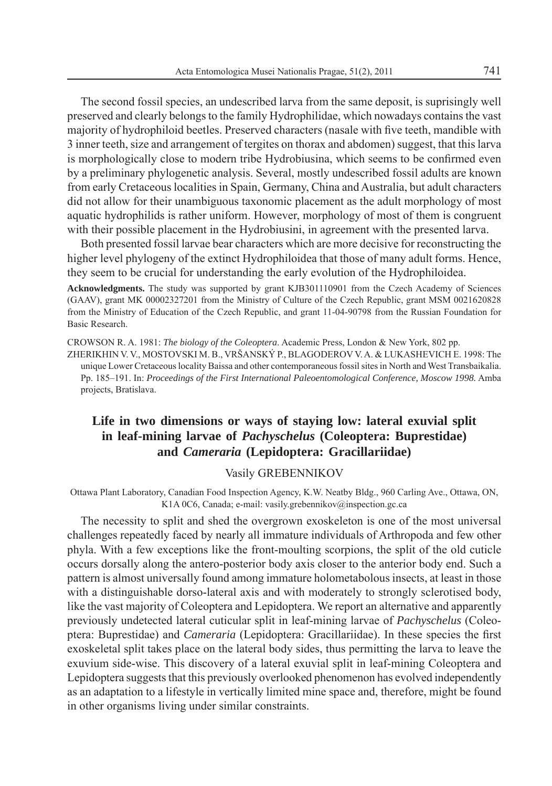The second fossil species, an undescribed larva from the same deposit, is suprisingly well preserved and clearly belongs to the family Hydrophilidae, which nowadays contains the vast majority of hydrophiloid beetles. Preserved characters (nasale with five teeth, mandible with 3 inner teeth, size and arrangement of tergites on thorax and abdomen) suggest, that this larva is morphologically close to modern tribe Hydrobiusina, which seems to be confirmed even by a preliminary phylogenetic analysis. Several, mostly undescribed fossil adults are known from early Cretaceous localities in Spain, Germany, China and Australia, but adult characters did not allow for their unambiguous taxonomic placement as the adult morphology of most aquatic hydrophilids is rather uniform. However, morphology of most of them is congruent with their possible placement in the Hydrobiusini, in agreement with the presented larva.

Both presented fossil larvae bear characters which are more decisive for reconstructing the higher level phylogeny of the extinct Hydrophiloidea that those of many adult forms. Hence, they seem to be crucial for understanding the early evolution of the Hydrophiloidea.

**Acknowledgments.** The study was supported by grant KJB301110901 from the Czech Academy of Sciences (GAAV), grant MK 00002327201 from the Ministry of Culture of the Czech Republic, grant MSM 0021620828 from the Ministry of Education of the Czech Republic, and grant 11-04-90798 from the Russian Foundation for Basic Research.

CROWSON R. A. 1981: *The biology of the Coleoptera*. Academic Press, London & New York, 802 pp. ZHERIKHIN V. V., MOSTOVSKI M. B., VRŠANSKÝ P., BLAGODEROV V. A. & LUKASHEVICH E. 1998: The unique Lower Cretaceous locality Baissa and other contemporaneous fossil sites in North and West Transbaikalia. Pp. 185–191. In: *Proceedings of the First International Paleoentomological Conference, Moscow 1998.* Amba projects, Bratislava.

## **Life in two dimensions or ways of staying low: lateral exuvial split in leaf-mining larvae of** *Pachyschelus* **(Coleoptera: Buprestidae) and** *Cameraria* **(Lepidoptera: Gracillariidae)**

### Vasily GREBENNIKOV

Ottawa Plant Laboratory, Canadian Food Inspection Agency, K.W. Neatby Bldg., 960 Carling Ave., Ottawa, ON, K1A 0C6, Canada; e-mail: vasily.grebennikov@inspection.gc.ca

The necessity to split and shed the overgrown exoskeleton is one of the most universal challenges repeatedly faced by nearly all immature individuals of Arthropoda and few other phyla. With a few exceptions like the front-moulting scorpions, the split of the old cuticle occurs dorsally along the antero-posterior body axis closer to the anterior body end. Such a pattern is almost universally found among immature holometabolous insects, at least in those with a distinguishable dorso-lateral axis and with moderately to strongly sclerotised body, like the vast majority of Coleoptera and Lepidoptera. We report an alternative and apparently previously undetected lateral cuticular split in leaf-mining larvae of *Pachyschelus* (Coleoptera: Buprestidae) and *Cameraria* (Lepidoptera: Gracillariidae). In these species the first exoskeletal split takes place on the lateral body sides, thus permitting the larva to leave the exuvium side-wise. This discovery of a lateral exuvial split in leaf-mining Coleoptera and Lepidoptera suggests that this previously overlooked phenomenon has evolved independently as an adaptation to a lifestyle in vertically limited mine space and, therefore, might be found in other organisms living under similar constraints.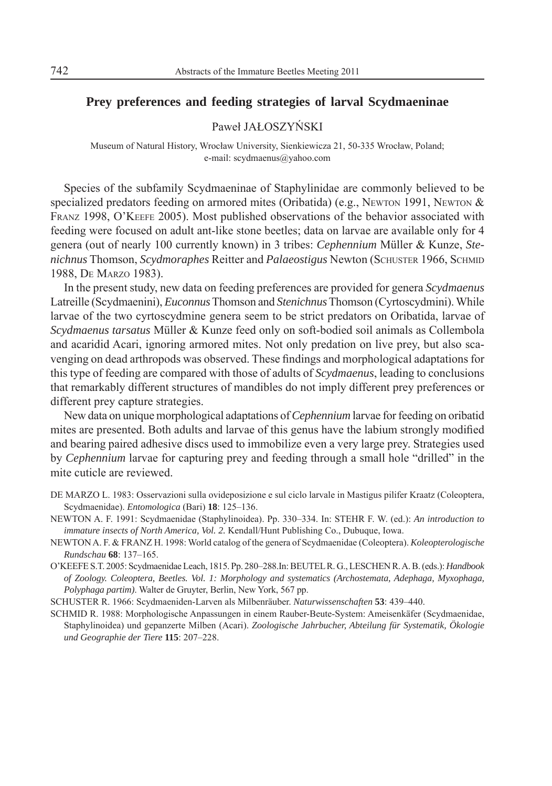## **Prey preferences and feeding strategies of larval Scydmaeninae**

Paweł JAŁOSZYŃSKI

Museum of Natural History, Wrocław University, Sienkiewicza 21, 50-335 Wrocław, Poland; e-mail: scydmaenus@yahoo.com

Species of the subfamily Scydmaeninae of Staphylinidae are commonly believed to be specialized predators feeding on armored mites (Oribatida) (e.g., NEWTON 1991, NEWTON  $\&$ FRANZ 1998, O'KEEFE 2005). Most published observations of the behavior associated with feeding were focused on adult ant-like stone beetles; data on larvae are available only for 4 genera (out of nearly 100 currently known) in 3 tribes: *Cephennium* Müller & Kunze, *Stenichnus* Thomson, *Scydmoraphes* Reitter and *Palaeostigus* Newton (SCHUSTER 1966, SCHMID 1988, DE MARZO 1983).

In the present study, new data on feeding preferences are provided for genera *Scydmaenus*  Latreille (Scydmaenini), *Euconnus* Thomson and *Stenichnus* Thomson (Cyrtoscydmini). While larvae of the two cyrtoscydmine genera seem to be strict predators on Oribatida, larvae of *Scydmaenus tarsatus* Müller & Kunze feed only on soft-bodied soil animals as Collembola and acaridid Acari, ignoring armored mites. Not only predation on live prey, but also scavenging on dead arthropods was observed. These findings and morphological adaptations for this type of feeding are compared with those of adults of *Scydmaenus*, leading to conclusions that remarkably different structures of mandibles do not imply different prey preferences or different prey capture strategies.

New data on unique morphological adaptations of *Cephennium* larvae for feeding on oribatid mites are presented. Both adults and larvae of this genus have the labium strongly modified and bearing paired adhesive discs used to immobilize even a very large prey. Strategies used by *Cephennium* larvae for capturing prey and feeding through a small hole "drilled" in the mite cuticle are reviewed.

- DE MARZO L. 1983: Osservazioni sulla ovideposizione e sul ciclo larvale in Mastigus pilifer Kraatz (Coleoptera, Scydmaenidae). *Entomologica* (Bari) **18**: 125–136.
- NEWTON A. F. 1991: Scydmaenidae (Staphylinoidea). Pp. 330–334. In: STEHR F. W. (ed.): *An introduction to immature insects of North America, Vol. 2.* Kendall/Hunt Publishing Co., Dubuque, Iowa.
- NEWTON A. F. & FRANZ H. 1998: World catalog of the genera of Scydmaenidae (Coleoptera). *Koleopterologische Rundschau* **68**: 137–165.
- O'KEEFE S.T. 2005: Scydmaenidae Leach, 1815. Pp. 280–288.In: BEUTEL R. G., LESCHEN R. A. B. (eds.): *Handbook of Zoology. Coleoptera, Beetles. Vol. 1: Morphology and systematics (Archostemata, Adephaga, Myxophaga, Polyphaga partim)*. Walter de Gruyter, Berlin, New York, 567 pp.
- SCHUSTER R. 1966: Scydmaeniden-Larven als Milbenräuber. *Naturwissenschaften* **53**: 439–440.
- SCHMID R. 1988: Morphologische Anpassungen in einem Rauber-Beute-System: Ameisenkäfer (Scydmaenidae, Staphylinoidea) und gepanzerte Milben (Acari). *Zoologische Jahrbucher, Abteilung für Systematik, Ökologie und Geographie der Tiere* **115**: 207–228.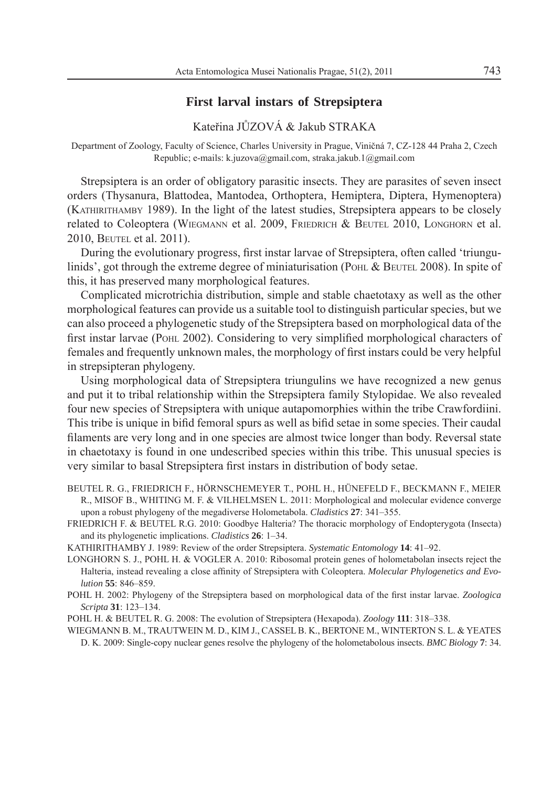## **First larval instars of Strepsiptera**

Kateřina JŮZOVÁ & Jakub STRAKA

Department of Zoology, Faculty of Science, Charles University in Prague, Viničná 7, CZ-128 44 Praha 2, Czech Republic; e-mails: k.juzova@gmail.com, straka.jakub.1@gmail.com

Strepsiptera is an order of obligatory parasitic insects. They are parasites of seven insect orders (Thysanura, Blattodea, Mantodea, Orthoptera, Hemiptera, Diptera, Hymenoptera) (KATHIRITHAMBY 1989). In the light of the latest studies, Strepsiptera appears to be closely related to Coleoptera (WIEGMANN et al. 2009, FRIEDRICH & BEUTEL 2010, LONGHORN et al. 2010, BEUTEL et al. 2011).

During the evolutionary progress, first instar larvae of Strepsiptera, often called 'triungulinids', got through the extreme degree of miniaturisation (POHL & BEUTEL 2008). In spite of this, it has preserved many morphological features.

Complicated microtrichia distribution, simple and stable chaetotaxy as well as the other morphological features can provide us a suitable tool to distinguish particular species, but we can also proceed a phylogenetic study of the Strepsiptera based on morphological data of the first instar larvae (POHL 2002). Considering to very simplified morphological characters of females and frequently unknown males, the morphology of first instars could be very helpful in strepsipteran phylogeny.

Using morphological data of Strepsiptera triungulins we have recognized a new genus and put it to tribal relationship within the Strepsiptera family Stylopidae. We also revealed four new species of Strepsiptera with unique autapomorphies within the tribe Crawfordiini. This tribe is unique in bifid femoral spurs as well as bifid setae in some species. Their caudal filaments are very long and in one species are almost twice longer than body. Reversal state in chaetotaxy is found in one undescribed species within this tribe. This unusual species is very similar to basal Strepsiptera first instars in distribution of body setae.

BEUTEL R. G., FRIEDRICH F., HÖRNSCHEMEYER T., POHL H., HÜNEFELD F., BECKMANN F., MEIER R., MISOF B., WHITING M. F. & VILHELMSEN L. 2011: Morphological and molecular evidence converge upon a robust phylogeny of the megadiverse Holometabola. *Cladistics* **27**: 341–355.

FRIEDRICH F. & BEUTEL R.G. 2010: Goodbye Halteria? The thoracic morphology of Endopterygota (Insecta) and its phylogenetic implications. *Cladistics* **26**: 1–34.

KATHIRITHAMBY J. 1989: Review of the order Strepsiptera. *Systematic Entomology* **14**: 41–92.

LONGHORN S. J., POHL H. & VOGLER A. 2010: Ribosomal protein genes of holometabolan insects reject the Halteria, instead revealing a close affinity of Strepsiptera with Coleoptera. *Molecular Phylogenetics and Evolution* **55**: 846–859.

POHL H. 2002: Phylogeny of the Strepsiptera based on morphological data of the first instar larvae. *Zoologica Scripta* **31**: 123–134.

POHL H. & BEUTEL R. G. 2008: The evolution of Strepsiptera (Hexapoda). *Zoology* **111**: 318–338.

WIEGMANN B. M., TRAUTWEIN M. D., KIM J., CASSEL B. K., BERTONE M., WINTERTON S. L. & YEATES D. K. 2009: Single-copy nuclear genes resolve the phylogeny of the holometabolous insects. *BMC Biology* **7**: 34.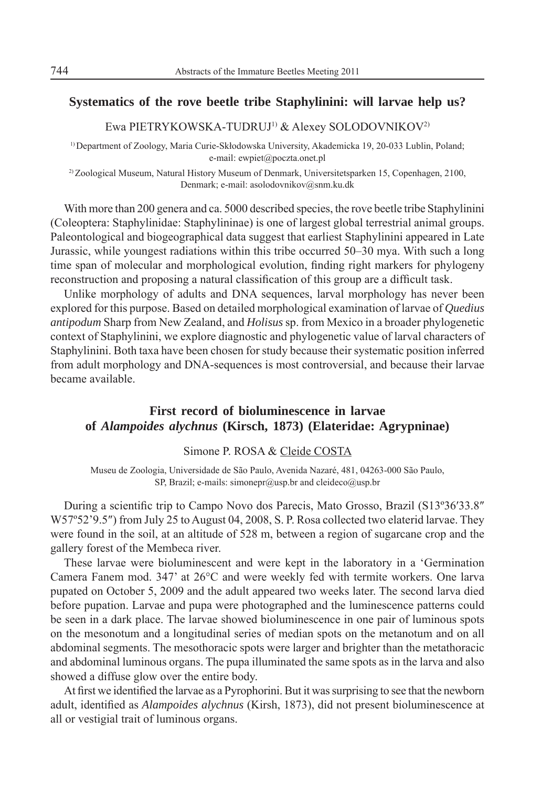## **Systematics of the rove beetle tribe Staphylinini: will larvae help us?**

Ewa PIETRYKOWSKA-TUDRUJ1) & Alexey SOLODOVNIKOV2)

1) Department of Zoology, Maria Curie-Skłodowska University, Akademicka 19, 20-033 Lublin, Poland; e-mail: ewpiet@poczta.onet.pl

<sup>2)</sup> Zoological Museum, Natural History Museum of Denmark, Universitetsparken 15, Copenhagen, 2100, Denmark; e-mail: asolodovnikov@snm.ku.dk

With more than 200 genera and ca. 5000 described species, the rove beetle tribe Staphylinini (Coleoptera: Staphylinidae: Staphylininae) is one of largest global terrestrial animal groups. Paleontological and biogeographical data suggest that earliest Staphylinini appeared in Late Jurassic, while youngest radiations within this tribe occurred 50–30 mya. With such a long time span of molecular and morphological evolution, finding right markers for phylogeny reconstruction and proposing a natural classification of this group are a difficult task.

Unlike morphology of adults and DNA sequences, larval morphology has never been explored for this purpose. Based on detailed morphological examination of larvae of *Quedius antipodum* Sharp from New Zealand, and *Holisus* sp. from Mexico in a broader phylogenetic context of Staphylinini, we explore diagnostic and phylogenetic value of larval characters of Staphylinini. Both taxa have been chosen for study because their systematic position inferred from adult morphology and DNA-sequences is most controversial, and because their larvae became available.

## **First record of bioluminescence in larvae of** *Alampoides alychnus* **(Kirsch, 1873) (Elateridae: Agrypninae)**

Simone P. ROSA & Cleide COSTA

Museu de Zoologia, Universidade de São Paulo, Avenida Nazaré, 481, 04263-000 São Paulo, SP, Brazil; e-mails: simonepr@usp.br and cleideco@usp.br

During a scientific trip to Campo Novo dos Parecis, Mato Grosso, Brazil (S13°36′33.8″) W57°52'9.5") from July 25 to August 04, 2008, S. P. Rosa collected two elaterid larvae. They were found in the soil, at an altitude of 528 m, between a region of sugarcane crop and the gallery forest of the Membeca river.

These larvae were bioluminescent and were kept in the laboratory in a 'Germination Camera Fanem mod. 347' at 26°C and were weekly fed with termite workers. One larva pupated on October 5, 2009 and the adult appeared two weeks later. The second larva died before pupation. Larvae and pupa were photographed and the luminescence patterns could be seen in a dark place. The larvae showed bioluminescence in one pair of luminous spots on the mesonotum and a longitudinal series of median spots on the metanotum and on all abdominal segments. The mesothoracic spots were larger and brighter than the metathoracic and abdominal luminous organs. The pupa illuminated the same spots as in the larva and also showed a diffuse glow over the entire body.

At first we identified the larvae as a Pyrophorini. But it was surprising to see that the newborn adult, identified as *Alampoides alychnus* (Kirsh, 1873), did not present bioluminescence at all or vestigial trait of luminous organs.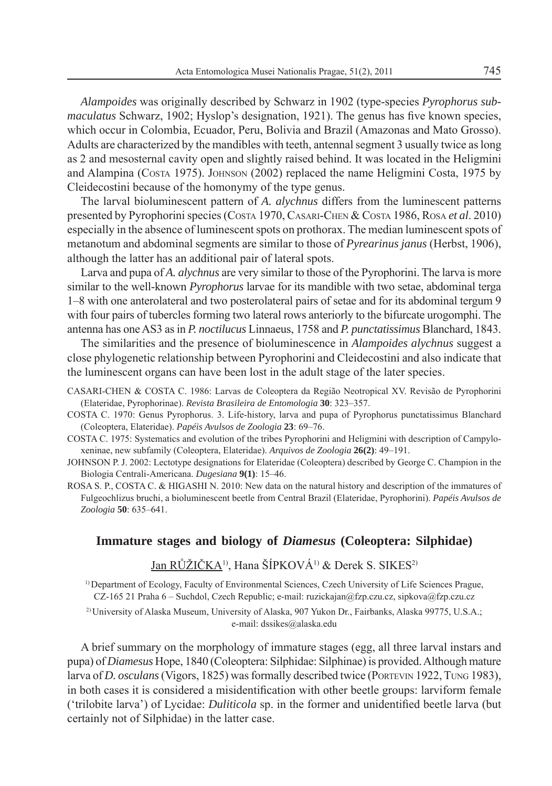*Alampoides* was originally described by Schwarz in 1902 (type-species *Pyrophorus submaculatus* Schwarz, 1902; Hyslop's designation, 1921). The genus has five known species, which occur in Colombia, Ecuador, Peru, Bolivia and Brazil (Amazonas and Mato Grosso). Adults are characterized by the mandibles with teeth, antennal segment 3 usually twice as long as 2 and mesosternal cavity open and slightly raised behind. It was located in the Heligmini and Alampina (COSTA 1975). JOHNSON (2002) replaced the name Heligmini Costa, 1975 by Cleidecostini because of the homonymy of the type genus.

The larval bioluminescent pattern of *A. alychnus* differs from the luminescent patterns presented by Pyrophorini species (COSTA 1970, CASARI-CHEN & COSTA 1986, ROSA *et al*. 2010) especially in the absence of luminescent spots on prothorax. The median luminescent spots of metanotum and abdominal segments are similar to those of *Pyrearinus janus* (Herbst, 1906), although the latter has an additional pair of lateral spots.

Larva and pupa of *A. alychnus* are very similar to those of the Pyrophorini. The larva is more similar to the well-known *Pyrophorus* larvae for its mandible with two setae, abdominal terga 1–8 with one anterolateral and two posterolateral pairs of setae and for its abdominal tergum 9 with four pairs of tubercles forming two lateral rows anteriorly to the bifurcate urogomphi. The antenna has one AS3 as in *P. noctilucus* Linnaeus, 1758 and *P. punctatissimus* Blanchard, 1843.

The similarities and the presence of bioluminescence in *Alampoides alychnus* suggest a close phylogenetic relationship between Pyrophorini and Cleidecostini and also indicate that the luminescent organs can have been lost in the adult stage of the later species.

- CASARI-CHEN & COSTA C. 1986: Larvas de Coleoptera da Região Neotropical XV. Revisão de Pyrophorini (Elateridae, Pyrophorinae). *Revista Brasileira de Entomologia* **30**: 323–357.
- COSTA C. 1970: Genus Pyrophorus. 3. Life-history, larva and pupa of Pyrophorus punctatissimus Blanchard (Coleoptera, Elateridae). *Papéis Avulsos de Zoologia* **23**: 69–76.
- COSTA C. 1975: Systematics and evolution of the tribes Pyrophorini and Heligmini with description of Campyloxeninae, new subfamily (Coleoptera, Elateridae). *Arquivos de Zoologia* **26(2)**: 49–191.
- JOHNSON P. J. 2002: Lectotype designations for Elateridae (Coleoptera) described by George C. Champion in the Biologia Centrali-Americana. *Dugesiana* **9(1)**: 15–46.
- ROSA S. P., COSTA C. & HIGASHI N. 2010: New data on the natural history and description of the immatures of Fulgeochlizus bruchi, a bioluminescent beetle from Central Brazil (Elateridae, Pyrophorini). *Papéis Avulsos de Zoologia* **50**: 635–641.

## **Immature stages and biology of** *Diamesus* **(Coleoptera: Silphidae)**

Jan RŮŽIČKA<sup>1)</sup>, Hana ŠÍPKOVÁ<sup>1)</sup> & Derek S. SIKES<sup>2)</sup>

1) Department of Ecology, Faculty of Environmental Sciences, Czech University of Life Sciences Prague, CZ-165 21 Praha 6 – Suchdol, Czech Republic; e-mail: ruzickajan@fzp.czu.cz, sipkova@fzp.czu.cz

2) University of Alaska Museum, University of Alaska, 907 Yukon Dr., Fairbanks, Alaska 99775, U.S.A.; e-mail: dssikes@alaska.edu

A brief summary on the morphology of immature stages (egg, all three larval instars and pupa) of *Diamesus* Hope, 1840 (Coleoptera: Silphidae: Silphinae) is provided. Although mature larva of *D. osculans* (Vigors, 1825) was formally described twice (PORTEVIN 1922, TUNG 1983), in both cases it is considered a misidentification with other beetle groups: larviform female ('trilobite larva') of Lycidae: *Duliticola* sp. in the former and unidentified beetle larva (but certainly not of Silphidae) in the latter case.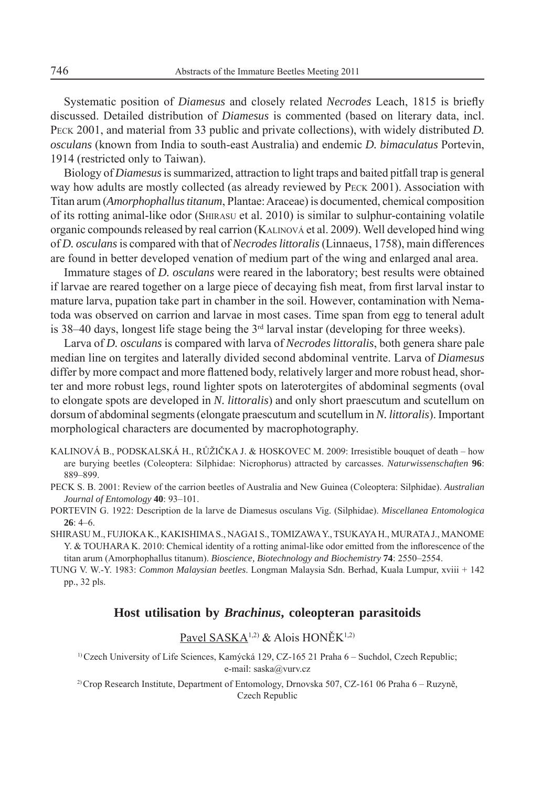Systematic position of *Diamesus* and closely related *Necrodes* Leach, 1815 is briefly discussed. Detailed distribution of *Diamesus* is commented (based on literary data, incl. PECK 2001, and material from 33 public and private collections), with widely distributed *D. osculans* (known from India to south-east Australia) and endemic *D. bimaculatus* Portevin, 1914 (restricted only to Taiwan).

Biology of *Diamesus* is summarized, attraction to light traps and baited pitfall trap is general way how adults are mostly collected (as already reviewed by PECK 2001). Association with Titan arum (*Amorphophallus titanum*, Plantae: Araceae) is documented, chemical composition of its rotting animal-like odor (SHIRASU et al. 2010) is similar to sulphur-containing volatile organic compounds released by real carrion (KALINOVÁ et al. 2009). Well developed hind wing of *D. osculans* is compared with that of *Necrodes littoralis* (Linnaeus, 1758), main differences are found in better developed venation of medium part of the wing and enlarged anal area.

Immature stages of *D. osculans* were reared in the laboratory; best results were obtained if larvae are reared together on a large piece of decaying fish meat, from first larval instar to mature larva, pupation take part in chamber in the soil. However, contamination with Nematoda was observed on carrion and larvae in most cases. Time span from egg to teneral adult is 38–40 days, longest life stage being the  $3<sup>rd</sup>$  larval instar (developing for three weeks).

Larva of *D. osculans* is compared with larva of *Necrodes littoralis*, both genera share pale median line on tergites and laterally divided second abdominal ventrite. Larva of *Diamesus* differ by more compact and more flattened body, relatively larger and more robust head, shorter and more robust legs, round lighter spots on laterotergites of abdominal segments (oval to elongate spots are developed in *N. littoralis*) and only short praescutum and scutellum on dorsum of abdominal segments (elongate praescutum and scutellum in *N. littoralis*). Important morphological characters are documented by macrophotography.

- KALINOVÁ B., PODSKALSKÁ H., RŮŽIČKA J. & HOSKOVEC M. 2009: Irresistible bouquet of death how are burying beetles (Coleoptera: Silphidae: Nicrophorus) attracted by carcasses. *Naturwissenschaften* **96**: 889–899.
- PECK S. B. 2001: Review of the carrion beetles of Australia and New Guinea (Coleoptera: Silphidae). *Australian Journal of Entomology* **40**: 93–101.
- PORTEVIN G. 1922: Description de la larve de Diamesus osculans Vig. (Silphidae). *Miscellanea Entomologica* **26**: 4–6.

SHIRASU M., FUJIOKA K., KAKISHIMA S., NAGAI S., TOMIZAWA Y., TSUKAYA H., MURATA J., MANOME Y. & TOUHARA K. 2010: Chemical identity of a rotting animal-like odor emitted from the inflorescence of the titan arum (Amorphophallus titanum). *Bioscience, Biotechnology and Biochemistry* **74**: 2550–2554.

TUNG V. W.-Y. 1983: *Common Malaysian beetles*. Longman Malaysia Sdn. Berhad, Kuala Lumpur, xviii + 142 pp., 32 pls.

### **Host utilisation by** *Brachinus***, coleopteran parasitoids**

Pavel SASKA<sup>1,2)</sup> & Alois HONĚK<sup>1,2)</sup>

<sup>1)</sup> Czech University of Life Sciences, Kamýcká 129, CZ-165 21 Praha 6 – Suchdol, Czech Republic; e-mail: saska@vurv.cz

2) Crop Research Institute, Department of Entomology, Drnovska 507, CZ-161 06 Praha 6 – Ruzyně, Czech Republic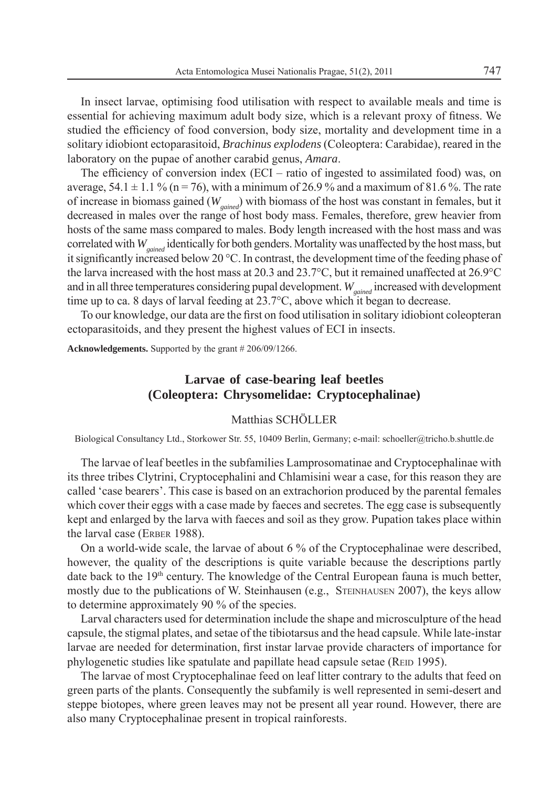In insect larvae, optimising food utilisation with respect to available meals and time is essential for achieving maximum adult body size, which is a relevant proxy of fitness. We studied the efficiency of food conversion, body size, mortality and development time in a solitary idiobiont ectoparasitoid, *Brachinus explodens* (Coleoptera: Carabidae), reared in the laboratory on the pupae of another carabid genus, *Amara*.

The efficiency of conversion index (ECI – ratio of ingested to assimilated food) was, on average,  $54.1 \pm 1.1$  % (n = 76), with a minimum of 26.9 % and a maximum of 81.6 %. The rate of increase in biomass gained (*Wgained*) with biomass of the host was constant in females, but it decreased in males over the range of host body mass. Females, therefore, grew heavier from hosts of the same mass compared to males. Body length increased with the host mass and was correlated with *W<sub>gained</sub>* identically for both genders. Mortality was unaffected by the host mass, but it significantly increased below 20 °C. In contrast, the development time of the feeding phase of the larva increased with the host mass at 20.3 and 23.7°C, but it remained unaffected at 26.9°C and in all three temperatures considering pupal development. *W<sub>sained</sub>* increased with development time up to ca. 8 days of larval feeding at 23.7°C, above which it began to decrease.

To our knowledge, our data are the first on food utilisation in solitary idiobiont coleopteran ectoparasitoids, and they present the highest values of ECI in insects.

**Acknowledgements.** Supported by the grant # 206/09/1266.

## **Larvae of case-bearing leaf beetles (Coleoptera: Chrysomelidae: Cryptocephalinae)**

### Matthias SCHÖLLER

Biological Consultancy Ltd., Storkower Str. 55, 10409 Berlin, Germany; e-mail: schoeller@tricho.b.shuttle.de

The larvae of leaf beetles in the subfamilies Lamprosomatinae and Cryptocephalinae with its three tribes Clytrini, Cryptocephalini and Chlamisini wear a case, for this reason they are called 'case bearers'. This case is based on an extrachorion produced by the parental females which cover their eggs with a case made by faeces and secretes. The egg case is subsequently kept and enlarged by the larva with faeces and soil as they grow. Pupation takes place within the larval case (ERBER 1988).

On a world-wide scale, the larvae of about 6 % of the Cryptocephalinae were described, however, the quality of the descriptions is quite variable because the descriptions partly date back to the  $19<sup>th</sup>$  century. The knowledge of the Central European fauna is much better, mostly due to the publications of W. Steinhausen (e.g., STEINHAUSEN 2007), the keys allow to determine approximately 90 % of the species.

Larval characters used for determination include the shape and microsculpture of the head capsule, the stigmal plates, and setae of the tibiotarsus and the head capsule. While late-instar larvae are needed for determination, first instar larvae provide characters of importance for phylogenetic studies like spatulate and papillate head capsule setae (REID 1995).

The larvae of most Cryptocephalinae feed on leaf litter contrary to the adults that feed on green parts of the plants. Consequently the subfamily is well represented in semi-desert and steppe biotopes, where green leaves may not be present all year round. However, there are also many Cryptocephalinae present in tropical rainforests.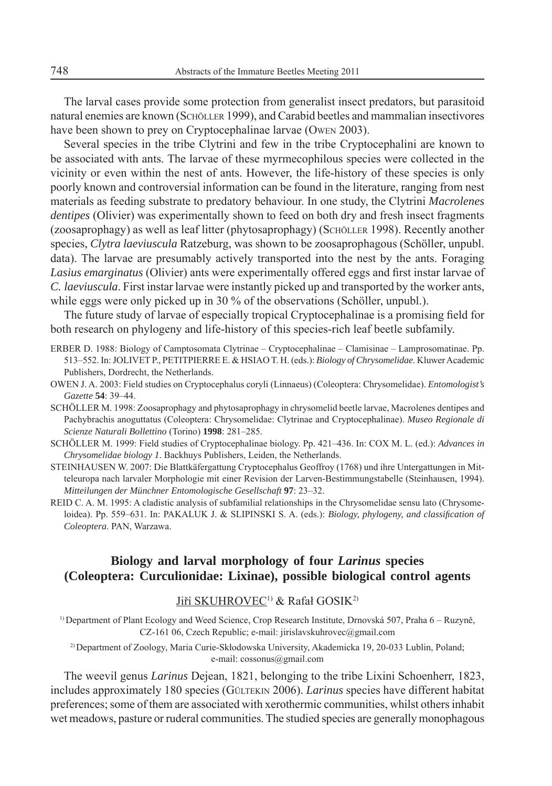The larval cases provide some protection from generalist insect predators, but parasitoid natural enemies are known (SCHÖLLER 1999), and Carabid beetles and mammalian insectivores have been shown to prey on Cryptocephalinae larvae (OWEN 2003).

Several species in the tribe Clytrini and few in the tribe Cryptocephalini are known to be associated with ants. The larvae of these myrmecophilous species were collected in the vicinity or even within the nest of ants. However, the life-history of these species is only poorly known and controversial information can be found in the literature, ranging from nest materials as feeding substrate to predatory behaviour. In one study, the Clytrini *Macrolenes dentipes* (Olivier) was experimentally shown to feed on both dry and fresh insect fragments (zoosaprophagy) as well as leaf litter (phytosaprophagy) (SCHÖLLER 1998). Recently another species, *Clytra laeviuscula* Ratzeburg, was shown to be zoosaprophagous (Schöller, unpubl. data). The larvae are presumably actively transported into the nest by the ants. Foraging *Lasius emarginatus (Olivier)* ants were experimentally offered eggs and first instar larvae of *C. laeviuscula*. First instar larvae were instantly picked up and transported by the worker ants, while eggs were only picked up in 30 % of the observations (Schöller, unpubl.).

The future study of larvae of especially tropical Cryptocephalinae is a promising field for both research on phylogeny and life-history of this species-rich leaf beetle subfamily.

ERBER D. 1988: Biology of Camptosomata Clytrinae – Cryptocephalinae – Clamisinae – Lamprosomatinae. Pp. 513–552. In: JOLIVET P., PETITPIERRE E. & HSIAO T. H. (eds.): *Biology of Chrysomelidae*. Kluwer Academic Publishers, Dordrecht, the Netherlands.

- OWEN J. A. 2003: Field studies on Cryptocephalus coryli (Linnaeus) (Coleoptera: Chrysomelidae). *Entomologist's Gazette* **54**: 39–44.
- SCHÖLLER M. 1998: Zoosaprophagy and phytosaprophagy in chrysomelid beetle larvae, Macrolenes dentipes and Pachybrachis anoguttatus (Coleoptera: Chrysomelidae: Clytrinae and Cryptocephalinae). *Museo Regionale di Scienze Naturali Bollettino* (Torino) **1998**: 281–285.
- SCHÖLLER M. 1999: Field studies of Cryptocephalinae biology. Pp. 421–436. In: COX M. L. (ed.): *Advances in Chrysomelidae biology 1*. Backhuys Publishers, Leiden, the Netherlands.
- STEINHAUSEN W. 2007: Die Blattkäfergattung Cryptocephalus Geoffroy (1768) und ihre Untergattungen in Mitteleuropa nach larvaler Morphologie mit einer Revision der Larven-Bestimmungstabelle (Steinhausen, 1994). *Mitteilungen der Münchner Entomologische Gesellschaft* **97**: 23–32.
- REID C. A. M. 1995: A cladistic analysis of subfamilial relationships in the Chrysomelidae sensu lato (Chrysomeloidea). Pp. 559–631. In: PAKALUK J. & SLIPINSKI S. A. (eds.): *Biology, phylogeny, and classification of Coleoptera*. PAN, Warzawa.

## **Biology and larval morphology of four** *Larinus* **species (Coleoptera: Curculionidae: Lixinae), possible biological control agents**

### Jiří SKUHROVEC<sup>1)</sup> & Rafał GOSIK<sup>2)</sup>

1) Department of Plant Ecology and Weed Science, Crop Research Institute, Drnovská 507, Praha 6 – Ruzyně, CZ-161 06, Czech Republic; e-mail: jirislavskuhrovec@gmail.com

2) Department of Zoology, Maria Curie-Skłodowska University, Akademicka 19, 20-033 Lublin, Poland; e-mail: cossonus@gmail.com

The weevil genus *Larinus* Dejean, 1821, belonging to the tribe Lixini Schoenherr, 1823, includes approximately 180 species (GÜLTEKIN 2006). *Larinus* species have different habitat preferences; some of them are associated with xerothermic communities, whilst others inhabit wet meadows, pasture or ruderal communities. The studied species are generally monophagous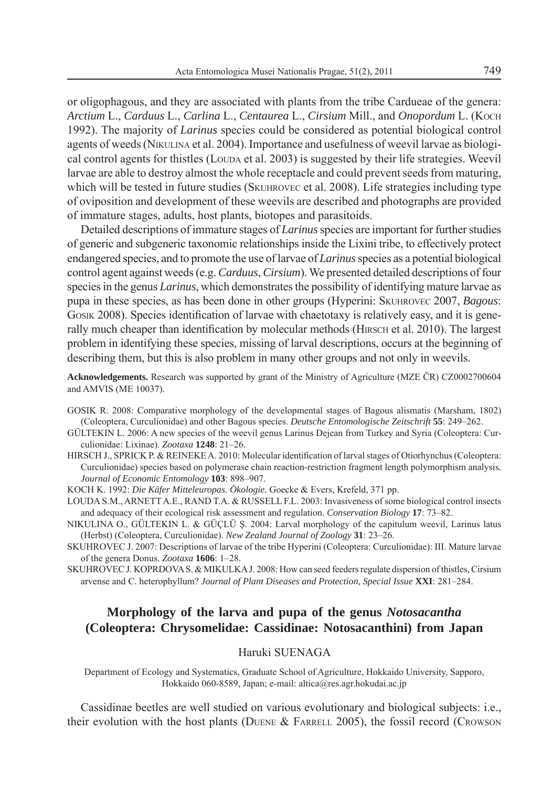or oligophagous, and they are associated with plants from the tribe Cardueae of the genera: *Arctium* L., *Carduus* L., *Carlina* L., *Centaurea* L., *Cirsium* Mill., and *Onopordum* L. (KOCH 1992). The majority of *Larinus* species could be considered as potential biological control agents of weeds (NIKULINA et al. 2004). Importance and usefulness of weevil larvae as biological control agents for thistles (LOUDA et al. 2003) is suggested by their life strategies. Weevil larvae are able to destroy almost the whole receptacle and could prevent seeds from maturing, which will be tested in future studies (SKUHROVEC et al. 2008). Life strategies including type of oviposition and development of these weevils are described and photographs are provided of immature stages, adults, host plants, biotopes and parasitoids.

Detailed descriptions of immature stages of *Larinus* species are important for further studies of generic and subgeneric taxonomic relationships inside the Lixini tribe, to effectively protect endangered species, and to promote the use of larvae of *Larinus* species as a potential biological control agent against weeds (e.g. *Carduus*, *Cirsium*). We presented detailed descriptions of four species in the genus *Larinus*, which demonstrates the possibility of identifying mature larvae as pupa in these species, as has been done in other groups (Hyperini: SKUHROVEC 2007, *Bagous*: GOSIK 2008). Species identification of larvae with chaetotaxy is relatively easy, and it is generally much cheaper than identification by molecular methods (HIRSCH et al. 2010). The largest problem in identifying these species, missing of larval descriptions, occurs at the beginning of describing them, but this is also problem in many other groups and not only in weevils.

**Acknowledgements.** Research was supported by grant of the Ministry of Agriculture (MZE ČR) CZ0002700604 and AMVIS (ME 10037).

- GOSIK R. 2008: Comparative morphology of the developmental stages of Bagous alismatis (Marsham, 1802) (Coleoptera, Curculionidae) and other Bagous species. *Deutsche Entomologische Zeitschrift* **55**: 249–262.
- GÜLTEKIN L. 2006: A new species of the weevil genus Larinus Dejean from Turkey and Syria (Coleoptera: Curculionidae: Lixinae). *Zootaxa* **1248**: 21–26.
- HIRSCH J., SPRICK P. & REINEKE A. 2010: Molecular identification of larval stages of Otiorhynchus (Coleoptera: Curculionidae) species based on polymerase chain reaction-restriction fragment length polymorphism analysis*. Journal of Economic Entomology* **103**: 898–907.
- KOCH K. 1992: *Die Käfer Mitteleuropas. Ökologie.* Goecke & Evers, Krefeld, 371 pp.
- LOUDA S.M., ARNETT A.E., RAND T.A. & RUSSELL F.L. 2003: Invasiveness of some biological control insects and adequacy of their ecological risk assessment and regulation. *Conservation Biology* **17**: 73–82.
- NIKULINA O., GÜLTEKIN L. & GÜÇLÜ Ş. 2004: Larval morphology of the capitulum weevil, Larinus latus (Herbst) (Coleoptera, Curculionidae). *New Zealand Journal of Zoology* **31**: 23–26.
- SKUHROVEC J. 2007: Descriptions of larvae of the tribe Hyperini (Coleoptera: Curculionidae): III. Mature larvae of the genera Donus. *Zootaxa* **1606**: 1–28.
- SKUHROVEC J. KOPRDOVA S. & MIKULKA J. 2008: How can seed feeders regulate dispersion of thistles, Cirsium arvense and C. heterophyllum? *Journal of Plant Diseases and Protection, Special Issue* **XXI**: 281–284.

## **Morphology of the larva and pupa of the genus** *Notosacantha* **(Coleoptera: Chrysomelidae: Cassidinae: Notosacanthini) from Japan**

#### Haruki SUENAGA

Department of Ecology and Systematics, Graduate School of Agriculture, Hokkaido University, Sapporo, Hokkaido 060-8589, Japan; e-mail: altica@res.agr.hokudai.ac.jp

Cassidinae beetles are well studied on various evolutionary and biological subjects: i.e., their evolution with the host plants (DUENE & FARRELL 2005), the fossil record (CROWSON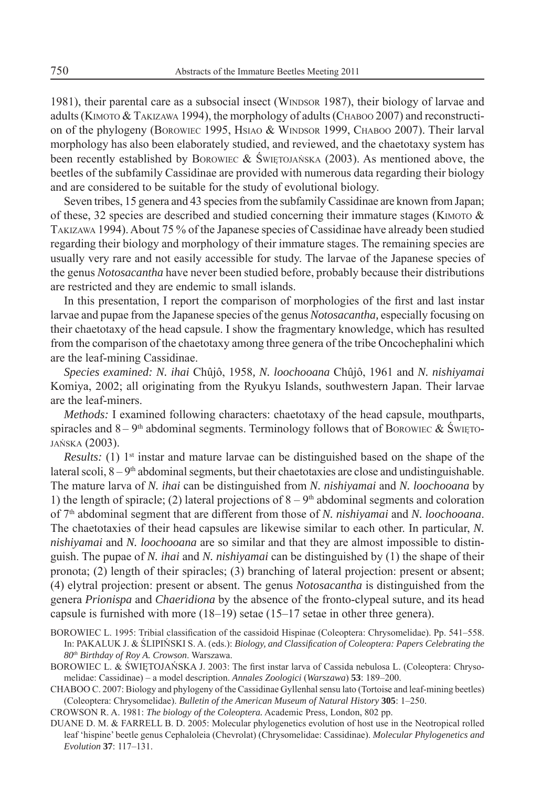1981), their parental care as a subsocial insect (WINDSOR 1987), their biology of larvae and adults (KIMOTO  $&$  TAKIZAWA 1994), the morphology of adults (CHABOO 2007) and reconstruction of the phylogeny (BOROWIEC 1995, HSIAO & WINDSOR 1999, CHABOO 2007). Their larval morphology has also been elaborately studied, and reviewed, and the chaetotaxy system has been recently established by BOROWIEC & ŚWIETOJAŃSKA (2003). As mentioned above, the beetles of the subfamily Cassidinae are provided with numerous data regarding their biology and are considered to be suitable for the study of evolutional biology.

Seven tribes, 15 genera and 43 species from the subfamily Cassidinae are known from Japan; of these, 32 species are described and studied concerning their immature stages (KIMOTO  $\&$ TAKIZAWA 1994). About 75 % of the Japanese species of Cassidinae have already been studied regarding their biology and morphology of their immature stages. The remaining species are usually very rare and not easily accessible for study. The larvae of the Japanese species of the genus *Notosacantha* have never been studied before, probably because their distributions are restricted and they are endemic to small islands.

In this presentation, I report the comparison of morphologies of the first and last instar larvae and pupae from the Japanese species of the genus *Notosacantha,* especially focusing on their chaetotaxy of the head capsule. I show the fragmentary knowledge, which has resulted from the comparison of the chaetotaxy among three genera of the tribe Oncochephalini which are the leaf-mining Cassidinae.

*Species examined: N. ihai* Chûjô, 1958*, N. loochooana* Chûjô, 1961 and *N. nishiyamai*  Komiya, 2002; all originating from the Ryukyu Islands, southwestern Japan. Their larvae are the leaf-miners.

*Methods:* I examined following characters: chaetotaxy of the head capsule, mouthparts, spiracles and  $8 - 9<sup>th</sup>$  abdominal segments. Terminology follows that of BOROWIEC & SWIETO-JAŃSKA (2003).

*Results:* (1) 1<sup>st</sup> instar and mature larvae can be distinguished based on the shape of the lateral scoli,  $8 - 9<sup>th</sup>$  abdominal segments, but their chaetotaxies are close and undistinguishable. The mature larva of *N. ihai* can be distinguished from *N. nishiyamai* and *N. loochooana* by 1) the length of spiracle; (2) lateral projections of  $8 - 9<sup>th</sup>$  abdominal segments and coloration of 7th abdominal segment that are different from those of *N. nishiyamai* and *N. loochooana*. The chaetotaxies of their head capsules are likewise similar to each other. In particular, *N. nishiyamai* and *N. loochooana* are so similar and that they are almost impossible to distinguish. The pupae of *N. ihai* and *N. nishiyamai* can be distinguished by (1) the shape of their pronota; (2) length of their spiracles; (3) branching of lateral projection: present or absent; (4) elytral projection: present or absent. The genus *Notosacantha* is distinguished from the genera *Prionispa* and *Chaeridiona* by the absence of the fronto-clypeal suture, and its head capsule is furnished with more (18–19) setae (15–17 setae in other three genera).

- BOROWIEC L. 1995: Tribial classification of the cassidoid Hispinae (Coleoptera: Chrysomelidae). Pp. 541–558. In: PAKALUK J. & ŚLIPIŃSKI S. A. (eds.): *Biology, and Classifi cation of Coleoptera: Papers Celebrating the 80th Birthday of Roy A. Crowson*. Warszawa.
- BOROWIEC L. & ŚWIĘTOJAŃSKA J. 2003: The first instar larva of Cassida nebulosa L. (Coleoptera: Chrysomelidae: Cassidinae) – a model description. *Annales Zoologici* (*Warszawa*) **53**: 189–200.
- CHABOO C. 2007: Biology and phylogeny of the Cassidinae Gyllenhal sensu lato (Tortoise and leaf-mining beetles) (Coleoptera: Chrysomelidae). *Bulletin of the American Museum of Natural History* **305**: 1–250.

CROWSON R. A. 1981: *The biology of the Coleoptera.* Academic Press, London, 802 pp.

DUANE D. M. & FARRELL B. D. 2005: Molecular phylogenetics evolution of host use in the Neotropical rolled leaf 'hispine' beetle genus Cephaloleia (Chevrolat) (Chrysomelidae: Cassidinae). *Molecular Phylogenetics and Evolution* **37**: 117–131.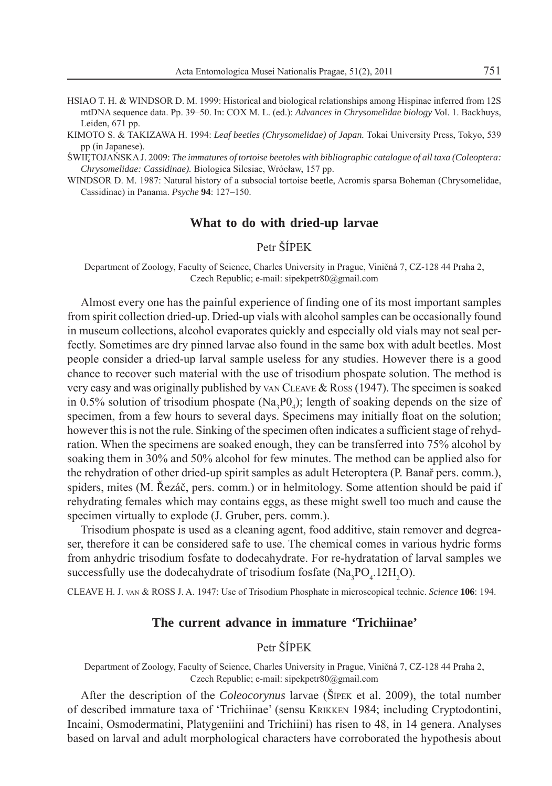- HSIAO T. H. & WINDSOR D. M. 1999: Historical and biological relationships among Hispinae inferred from 12S mtDNA sequence data. Pp. 39–50. In: COX M. L. (ed.): *Advances in Chrysomelidae biology* Vol. 1. Backhuys, Leiden, 671 pp.
- KIMOTO S. & TAKIZAWA H. 1994: *Leaf beetles (Chrysomelidae) of Japan.* Tokai University Press, Tokyo, 539 pp (in Japanese).

ŚWIĘTOJAŃSKA J. 2009: *The immatures of tortoise beetoles with bibliographic catalogue of all taxa (Coleoptera: Chrysomelidae: Cassidinae).* Biologica Silesiae, Wrócław, 157 pp.

WINDSOR D. M. 1987: Natural history of a subsocial tortoise beetle, Acromis sparsa Boheman (Chrysomelidae, Cassidinae) in Panama. *Psyche* **94**: 127–150.

#### **What to do with dried-up larvae**

### Petr ŠÍPEK

Department of Zoology, Faculty of Science, Charles University in Prague, Viničná 7, CZ-128 44 Praha 2, Czech Republic; e-mail: sipekpetr80@gmail.com

Almost every one has the painful experience of finding one of its most important samples from spirit collection dried-up. Dried-up vials with alcohol samples can be occasionally found in museum collections, alcohol evaporates quickly and especially old vials may not seal perfectly. Sometimes are dry pinned larvae also found in the same box with adult beetles. Most people consider a dried-up larval sample useless for any studies. However there is a good chance to recover such material with the use of trisodium phospate solution. The method is very easy and was originally published by VAN CLEAVE  $& Ross(1947)$ . The specimen is soaked in 0.5% solution of trisodium phospate  $(Na_3P0_4)$ ; length of soaking depends on the size of specimen, from a few hours to several days. Specimens may initially float on the solution; however this is not the rule. Sinking of the specimen often indicates a sufficient stage of rehydration. When the specimens are soaked enough, they can be transferred into 75% alcohol by soaking them in 30% and 50% alcohol for few minutes. The method can be applied also for the rehydration of other dried-up spirit samples as adult Heteroptera (P. Banař pers. comm.), spiders, mites (M. Řezáč, pers. comm.) or in helmitology. Some attention should be paid if rehydrating females which may contains eggs, as these might swell too much and cause the specimen virtually to explode (J. Gruber, pers. comm.).

Trisodium phospate is used as a cleaning agent, food additive, stain remover and degreaser, therefore it can be considered safe to use. The chemical comes in various hydric forms from anhydric trisodium fosfate to dodecahydrate. For re-hydratation of larval samples we successfully use the dodecahydrate of trisodium fosfate ( $\text{Na}_3\text{PO}_4$ .12H<sub>2</sub>O).

CLEAVE H. J. VAN & ROSS J. A. 1947: Use of Trisodium Phosphate in microscopical technic. *Science* **106**: 194.

### **The current advance in immature 'Trichiinae'**

### Petr ŠÍPEK

Department of Zoology, Faculty of Science, Charles University in Prague, Viničná 7, CZ-128 44 Praha 2, Czech Republic; e-mail: sipekpetr80@gmail.com

After the description of the *Coleocorynus* larvae (ŠÍPEK et al. 2009), the total number of described immature taxa of 'Trichiinae' (sensu KRIKKEN 1984; including Cryptodontini, Incaini, Osmodermatini, Platygeniini and Trichiini) has risen to 48, in 14 genera. Analyses based on larval and adult morphological characters have corroborated the hypothesis about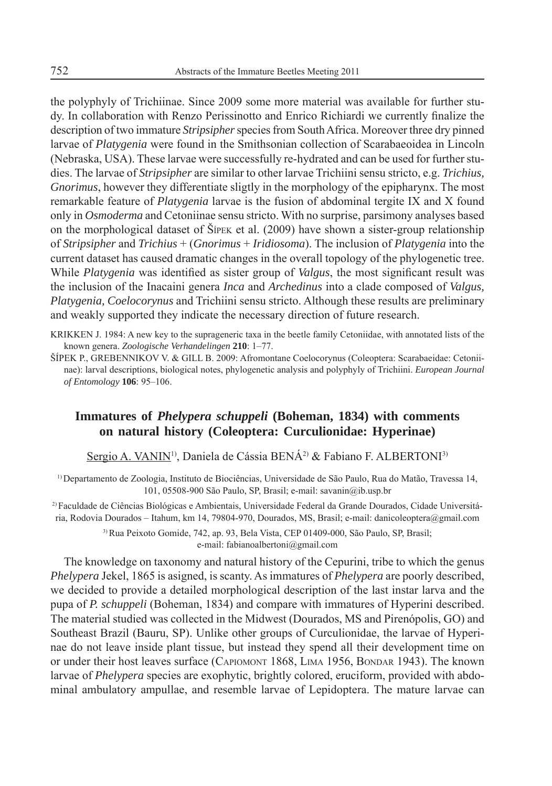the polyphyly of Trichiinae. Since 2009 some more material was available for further study. In collaboration with Renzo Perissinotto and Enrico Richiardi we currently finalize the description of two immature *Stripsipher* species from South Africa. Moreover three dry pinned larvae of *Platygenia* were found in the Smithsonian collection of Scarabaeoidea in Lincoln (Nebraska, USA). These larvae were successfully re-hydrated and can be used for further studies. The larvae of *Stripsipher* are similar to other larvae Trichiini sensu stricto, e.g. *Trichius, Gnorimus*, however they differentiate sligtly in the morphology of the epipharynx. The most remarkable feature of *Platygenia* larvae is the fusion of abdominal tergite IX and X found only in *Osmoderma* and Cetoniinae sensu stricto. With no surprise, parsimony analyses based on the morphological dataset of ŠÍPEK et al. (2009) have shown a sister-group relationship of *Stripsipher* and *Trichius* + (*Gnorimus* + *Iridiosoma*). The inclusion of *Platygenia* into the current dataset has caused dramatic changes in the overall topology of the phylogenetic tree. While *Platygenia* was identified as sister group of *Valgus*, the most significant result was the inclusion of the Inacaini genera *Inca* and *Archedinus* into a clade composed of *Valgus, Platygenia, Coelocorynus* and Trichiini sensu stricto. Although these results are preliminary and weakly supported they indicate the necessary direction of future research.

KRIKKEN J. 1984: A new key to the suprageneric taxa in the beetle family Cetoniidae, with annotated lists of the known genera. *Zoologische Verhandelingen* **210**: 1–77.

ŠÍPEK P., GREBENNIKOV V. & GILL B. 2009: Afromontane Coelocorynus (Coleoptera: Scarabaeidae: Cetoniinae): larval descriptions, biological notes, phylogenetic analysis and polyphyly of Trichiini. *European Journal of Entomology* **106**: 95–106.

## **Immatures of** *Phelypera schuppeli* **(Boheman, 1834) with comments on natural history (Coleoptera: Curculionidae: Hyperinae)**

Sergio A. VANIN<sup>1)</sup>, Daniela de Cássia BENÁ<sup>2)</sup> & Fabiano F. ALBERTONI<sup>3)</sup>

1) Departamento de Zoologia, Instituto de Biociências, Universidade de São Paulo, Rua do Matão, Travessa 14, 101, 05508-900 São Paulo, SP, Brasil; e-mail: savanin@ib.usp.br

2) Faculdade de Ciências Biológicas e Ambientais, Universidade Federal da Grande Dourados, Cidade Universitária, Rodovia Dourados – Itahum, km 14, 79804-970, Dourados, MS, Brasil; e-mail: danicoleoptera@gmail.com

> 3) Rua Peixoto Gomide, 742, ap. 93, Bela Vista, CEP 01409-000, São Paulo, SP, Brasil; e-mail: fabianoalbertoni@gmail.com

The knowledge on taxonomy and natural history of the Cepurini, tribe to which the genus *Phelypera* Jekel, 1865 is asigned, is scanty. As immatures of *Phelypera* are poorly described, we decided to provide a detailed morphological description of the last instar larva and the pupa of *P. schuppeli* (Boheman, 1834) and compare with immatures of Hyperini described. The material studied was collected in the Midwest (Dourados, MS and Pirenópolis, GO) and Southeast Brazil (Bauru, SP). Unlike other groups of Curculionidae, the larvae of Hyperinae do not leave inside plant tissue, but instead they spend all their development time on or under their host leaves surface (CAPIOMONT 1868, LIMA 1956, BONDAR 1943). The known larvae of *Phelypera* species are exophytic, brightly colored, eruciform, provided with abdominal ambulatory ampullae, and resemble larvae of Lepidoptera. The mature larvae can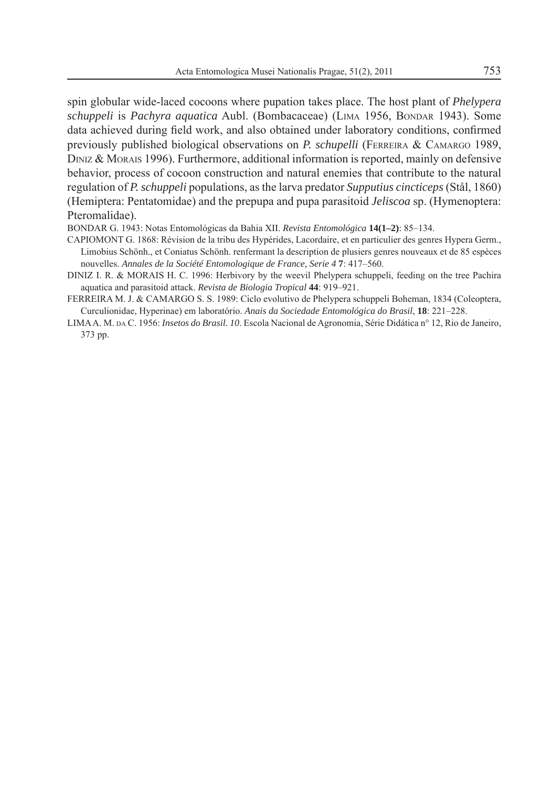spin globular wide-laced cocoons where pupation takes place. The host plant of *Phelypera schuppeli* is *Pachyra aquatica* Aubl. (Bombacaceae) (LIMA 1956, BONDAR 1943). Some data achieved during field work, and also obtained under laboratory conditions, confirmed previously published biological observations on *P. schupelli* (FERREIRA & CAMARGO 1989, DINIZ & MORAIS 1996). Furthermore, additional information is reported, mainly on defensive behavior, process of cocoon construction and natural enemies that contribute to the natural regulation of *P. schuppeli* populations, as the larva predator *Supputius cincticeps* (Stål, 1860) (Hemiptera: Pentatomidae) and the prepupa and pupa parasitoid *Jeliscoa* sp. (Hymenoptera: Pteromalidae).

BONDAR G. 1943: Notas Entomológicas da Bahia XII. *Revista Entomológica* **14(1–2)**: 85–134.

CAPIOMONT G. 1868: Révision de la tribu des Hypérides, Lacordaire, et en particulier des genres Hypera Germ., Limobius Schönh., et Coniatus Schönh. renfermant la description de plusiers genres nouveaux et de 85 espèces nouvelles. *Annales de la Société Entomologique de France, Serie 4* **7**: 417–560.

DINIZ I. R. & MORAIS H. C. 1996: Herbivory by the weevil Phelypera schuppeli, feeding on the tree Pachira aquatica and parasitoid attack. *Revista de Biologia Tropical* **44**: 919–921.

FERREIRA M. J. & CAMARGO S. S. 1989: Ciclo evolutivo de Phelypera schuppeli Boheman, 1834 (Coleoptera, Curculionidae, Hyperinae) em laboratório. *Anais da Sociedade Entomológica do Brasil*, **18**: 221–228.

LIMA A. M. DA C. 1956: *Insetos do Brasil. 10*. Escola Nacional de Agronomia, Série Didática n° 12, Rio de Janeiro, 373 pp.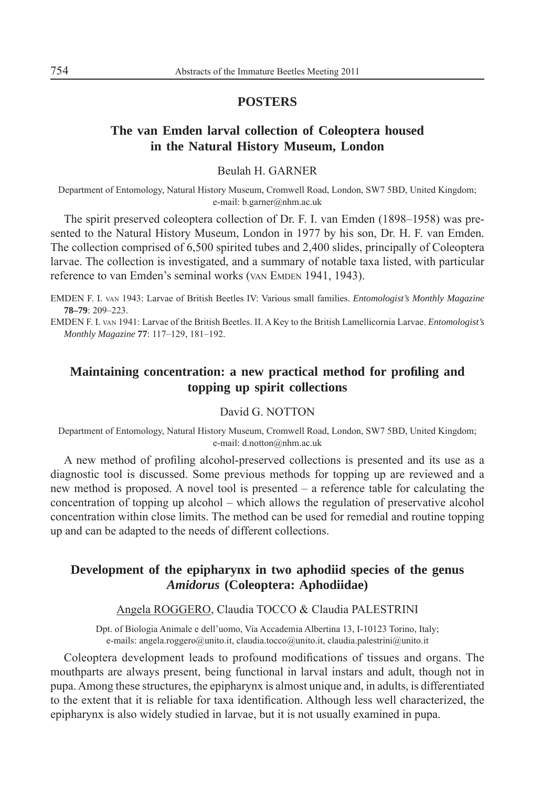### **POSTERS**

## **The van Emden larval collection of Coleoptera housed in the Natural History Museum, London**

### Beulah H. GARNER

Department of Entomology, Natural History Museum, Cromwell Road, London, SW7 5BD, United Kingdom; e-mail: b.garner@nhm.ac.uk

The spirit preserved coleoptera collection of Dr. F. I. van Emden (1898–1958) was presented to the Natural History Museum, London in 1977 by his son, Dr. H. F. van Emden. The collection comprised of 6,500 spirited tubes and 2,400 slides, principally of Coleoptera larvae. The collection is investigated, and a summary of notable taxa listed, with particular reference to van Emden's seminal works (VAN EMDEN 1941, 1943).

EMDEN F. I. VAN 1943: Larvae of British Beetles IV: Various small families. *Entomologist's Monthly Magazine* **78–79**: 209–223.

EMDEN F. I. VAN 1941: Larvae of the British Beetles. II. A Key to the British Lamellicornia Larvae. *Entomologist's Monthly Magazine* **77**: 117–129, 181–192.

## **Maintaining concentration: a new practical method for profiling and topping up spirit collections**

#### David G. NOTTON

Department of Entomology, Natural History Museum, Cromwell Road, London, SW7 5BD, United Kingdom; e-mail: d.notton@nhm.ac.uk

A new method of profiling alcohol-preserved collections is presented and its use as a diagnostic tool is discussed. Some previous methods for topping up are reviewed and a new method is proposed. A novel tool is presented – a reference table for calculating the concentration of topping up alcohol – which allows the regulation of preservative alcohol concentration within close limits. The method can be used for remedial and routine topping up and can be adapted to the needs of different collections.

## **Development of the epipharynx in two aphodiid species of the genus** *Amidorus* **(Coleoptera: Aphodiidae)**

#### Angela ROGGERO, Claudia TOCCO & Claudia PALESTRINI

Dpt. of Biologia Animale e dell'uomo, Via Accademia Albertina 13, I-10123 Torino, Italy; e-mails: angela.roggero@unito.it, claudia.tocco@unito.it, claudia.palestrini@unito.it

Coleoptera development leads to profound modifications of tissues and organs. The mouthparts are always present, being functional in larval instars and adult, though not in pupa. Among these structures, the epipharynx is almost unique and, in adults, is differentiated to the extent that it is reliable for taxa identification. Although less well characterized, the epipharynx is also widely studied in larvae, but it is not usually examined in pupa.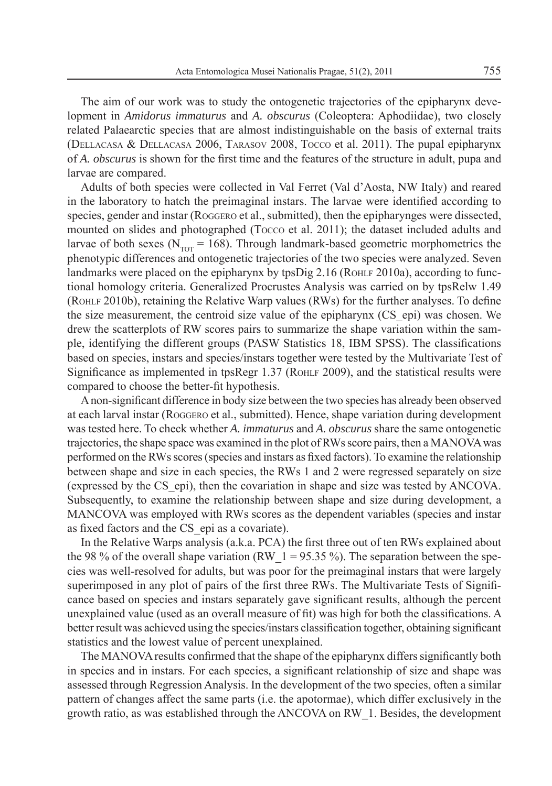The aim of our work was to study the ontogenetic trajectories of the epipharynx development in *Amidorus immaturus* and *A. obscurus* (Coleoptera: Aphodiidae), two closely related Palaearctic species that are almost indistinguishable on the basis of external traits (DELLACASA & DELLACASA 2006, TARASOV 2008, TOCCO et al. 2011). The pupal epipharynx of *A. obscurus* is shown for the first time and the features of the structure in adult, pupa and larvae are compared.

Adults of both species were collected in Val Ferret (Val d'Aosta, NW Italy) and reared in the laboratory to hatch the preimaginal instars. The larvae were identified according to species, gender and instar (ROGGERO et al., submitted), then the epipharynges were dissected, mounted on slides and photographed (Tocco et al. 2011); the dataset included adults and larvae of both sexes ( $N_{\text{corr}}$  = 168). Through landmark-based geometric morphometrics the phenotypic differences and ontogenetic trajectories of the two species were analyzed. Seven landmarks were placed on the epipharynx by  $tpsDig 2.16$  (ROHLF 2010a), according to functional homology criteria. Generalized Procrustes Analysis was carried on by tpsRelw 1.49 (ROHLF 2010b), retaining the Relative Warp values (RWs) for the further analyses. To define the size measurement, the centroid size value of the epipharynx (CS\_epi) was chosen. We drew the scatterplots of RW scores pairs to summarize the shape variation within the sample, identifying the different groups (PASW Statistics 18, IBM SPSS). The classifications based on species, instars and species/instars together were tested by the Multivariate Test of Significance as implemented in tpsRegr 1.37 (ROHLF 2009), and the statistical results were compared to choose the better-fit hypothesis.

A non-significant difference in body size between the two species has already been observed at each larval instar (ROGGERO et al., submitted). Hence, shape variation during development was tested here. To check whether *A. immaturus* and *A. obscurus* share the same ontogenetic trajectories, the shape space was examined in the plot of RWs score pairs, then a MANOVA was performed on the RWs scores (species and instars as fi xed factors). To examine the relationship between shape and size in each species, the RWs 1 and 2 were regressed separately on size (expressed by the CS\_epi), then the covariation in shape and size was tested by ANCOVA. Subsequently, to examine the relationship between shape and size during development, a MANCOVA was employed with RWs scores as the dependent variables (species and instar as fixed factors and the CS epi as a covariate).

In the Relative Warps analysis (a.k.a. PCA) the first three out of ten RWs explained about the 98 % of the overall shape variation (RW  $1 = 95.35$  %). The separation between the species was well-resolved for adults, but was poor for the preimaginal instars that were largely superimposed in any plot of pairs of the first three RWs. The Multivariate Tests of Significance based on species and instars separately gave significant results, although the percent unexplained value (used as an overall measure of fit) was high for both the classifications. A better result was achieved using the species/instars classification together, obtaining significant statistics and the lowest value of percent unexplained.

The MANOVA results confirmed that the shape of the epipharynx differs significantly both in species and in instars. For each species, a significant relationship of size and shape was assessed through Regression Analysis. In the development of the two species, often a similar pattern of changes affect the same parts (i.e. the apotormae), which differ exclusively in the growth ratio, as was established through the ANCOVA on RW\_1. Besides, the development